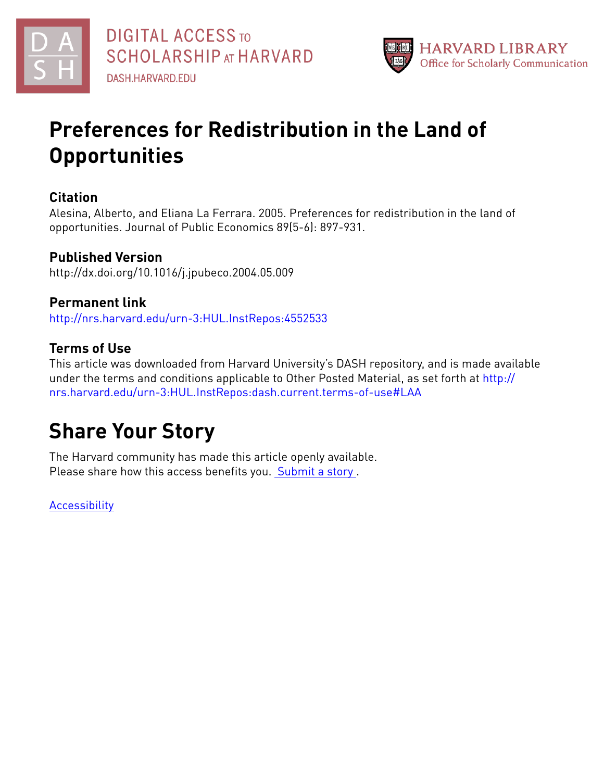



## **Preferences for Redistribution in the Land of Opportunities**

## **Citation**

Alesina, Alberto, and Eliana La Ferrara. 2005. Preferences for redistribution in the land of opportunities. Journal of Public Economics 89(5-6): 897-931.

## **Published Version**

http://dx.doi.org/10.1016/j.jpubeco.2004.05.009

## **Permanent link**

<http://nrs.harvard.edu/urn-3:HUL.InstRepos:4552533>

## **Terms of Use**

This article was downloaded from Harvard University's DASH repository, and is made available under the terms and conditions applicable to Other Posted Material, as set forth at [http://](http://nrs.harvard.edu/urn-3:HUL.InstRepos:dash.current.terms-of-use#LAA) [nrs.harvard.edu/urn-3:HUL.InstRepos:dash.current.terms-of-use#LAA](http://nrs.harvard.edu/urn-3:HUL.InstRepos:dash.current.terms-of-use#LAA)

## **Share Your Story**

The Harvard community has made this article openly available. Please share how this access benefits you. [Submit](http://osc.hul.harvard.edu/dash/open-access-feedback?handle=&title=Preferences%20for%20Redistribution%20in%20the%20Land%20of%20Opportunities&community=1/1&collection=1/2&owningCollection1/2&harvardAuthors=db56b5dfeb6879f5c5cc34efb86931d3&departmentEconomics) a story.

**[Accessibility](https://dash.harvard.edu/pages/accessibility)**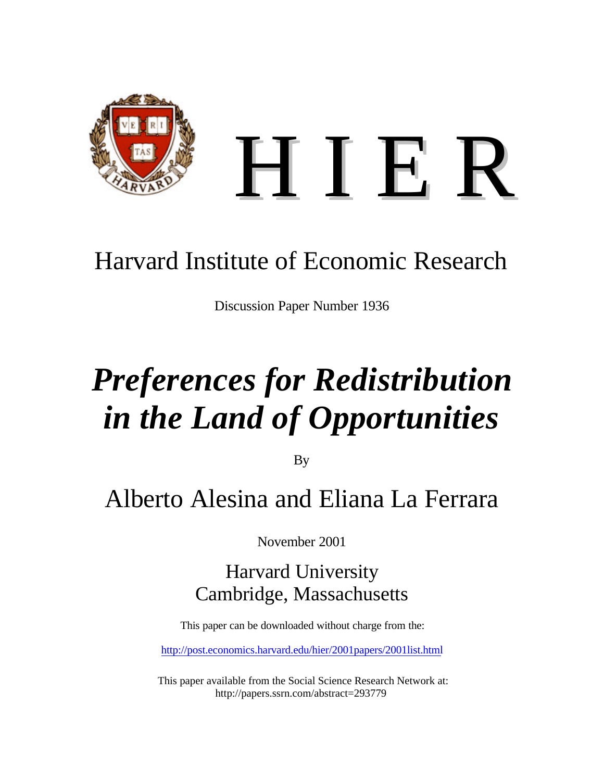

## Harvard Institute of Economic Research

Discussion Paper Number 1936

# *Preferences for Redistribution in the Land of Opportunities*

By

## Alberto Alesina and Eliana La Ferrara

November 2001

Harvard University Cambridge, Massachusetts

This paper can be downloaded without charge from the:

http://post.economics.harvard.edu/hier/2001papers/2001list.html

This paper available from the Social Science Research Network at: http://papers.ssrn.com/abstract=293779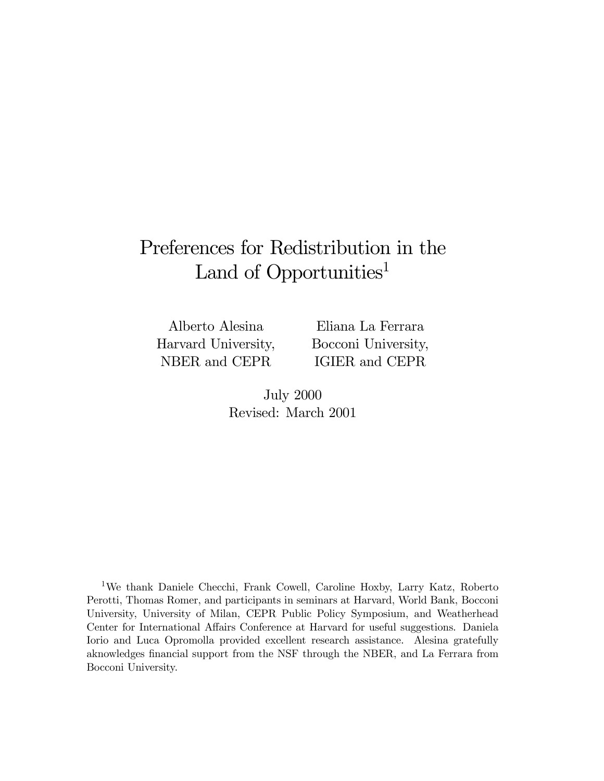## Preferences for Redistribution in the Land of Opportunities<sup>1</sup>

Alberto Alesina Harvard University, NBER and CEPR

Eliana La Ferrara Bocconi University, IGIER and CEPR

July 2000 Revised: March 2001

1We thank Daniele Checchi, Frank Cowell, Caroline Hoxby, Larry Katz, Roberto Perotti, Thomas Romer, and participants in seminars at Harvard, World Bank, Bocconi University, University of Milan, CEPR Public Policy Symposium, and Weatherhead Center for International A¤airs Conference at Harvard for useful suggestions. Daniela Iorio and Luca Opromolla provided excellent research assistance. Alesina gratefully aknowledges financial support from the NSF through the NBER, and La Ferrara from Bocconi University.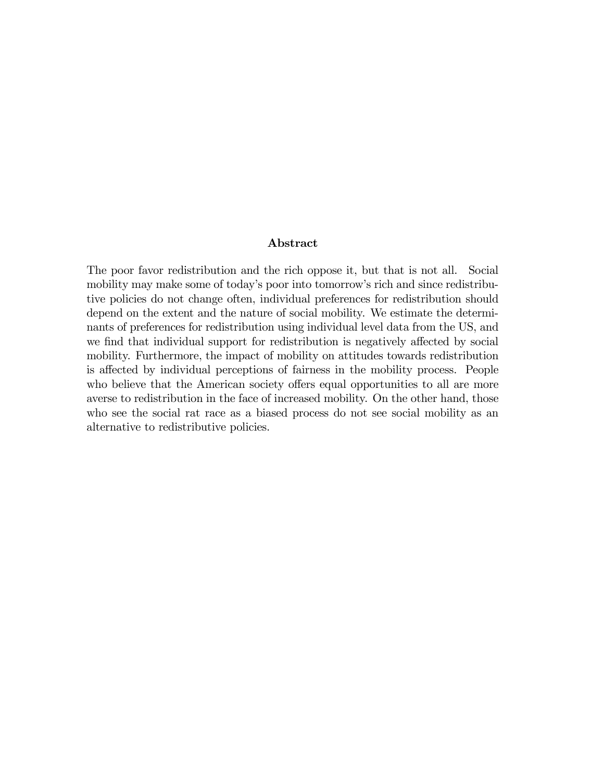#### Abstract

The poor favor redistribution and the rich oppose it, but that is not all. Social mobility may make some of today's poor into tomorrow's rich and since redistributive policies do not change often, individual preferences for redistribution should depend on the extent and the nature of social mobility. We estimate the determinants of preferences for redistribution using individual level data from the US, and we find that individual support for redistribution is negatively affected by social mobility. Furthermore, the impact of mobility on attitudes towards redistribution is affected by individual perceptions of fairness in the mobility process. People who believe that the American society offers equal opportunities to all are more averse to redistribution in the face of increased mobility. On the other hand, those who see the social rat race as a biased process do not see social mobility as an alternative to redistributive policies.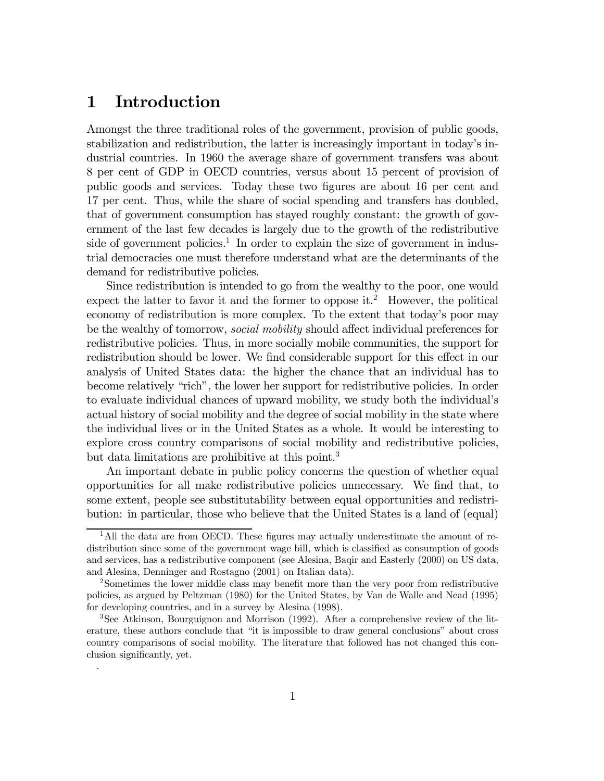## 1 Introduction

.

Amongst the three traditional roles of the government, provision of public goods, stabilization and redistribution, the latter is increasingly important in today's industrial countries. In 1960 the average share of government transfers was about 8 per cent of GDP in OECD countries, versus about 15 percent of provision of public goods and services. Today these two figures are about 16 per cent and 17 per cent. Thus, while the share of social spending and transfers has doubled, that of government consumption has stayed roughly constant: the growth of government of the last few decades is largely due to the growth of the redistributive side of government policies.<sup>1</sup> In order to explain the size of government in industrial democracies one must therefore understand what are the determinants of the demand for redistributive policies.

Since redistribution is intended to go from the wealthy to the poor, one would expect the latter to favor it and the former to oppose it.<sup>2</sup> However, the political economy of redistribution is more complex. To the extent that today's poor may be the wealthy of tomorrow, *social mobility* should affect individual preferences for redistributive policies. Thus, in more socially mobile communities, the support for redistribution should be lower. We find considerable support for this effect in our analysis of United States data: the higher the chance that an individual has to become relatively "rich", the lower her support for redistributive policies. In order to evaluate individual chances of upward mobility, we study both the individual's actual history of social mobility and the degree of social mobility in the state where the individual lives or in the United States as a whole. It would be interesting to explore cross country comparisons of social mobility and redistributive policies, but data limitations are prohibitive at this point.<sup>3</sup>

An important debate in public policy concerns the question of whether equal opportunities for all make redistributive policies unnecessary. We find that, to some extent, people see substitutability between equal opportunities and redistribution: in particular, those who believe that the United States is a land of (equal)

<sup>&</sup>lt;sup>1</sup>All the data are from OECD. These figures may actually underestimate the amount of redistribution since some of the government wage bill, which is classified as consumption of goods and services, has a redistributive component (see Alesina, Baqir and Easterly (2000) on US data, and Alesina, Denninger and Rostagno (2001) on Italian data).

<sup>&</sup>lt;sup>2</sup>Sometimes the lower middle class may benefit more than the very poor from redistributive policies, as argued by Peltzman (1980) for the United States, by Van de Walle and Nead (1995) for developing countries, and in a survey by Alesina (1998).

<sup>3</sup>See Atkinson, Bourguignon and Morrison (1992). After a comprehensive review of the literature, these authors conclude that "it is impossible to draw general conclusions" about cross country comparisons of social mobility. The literature that followed has not changed this conclusion significantly, yet.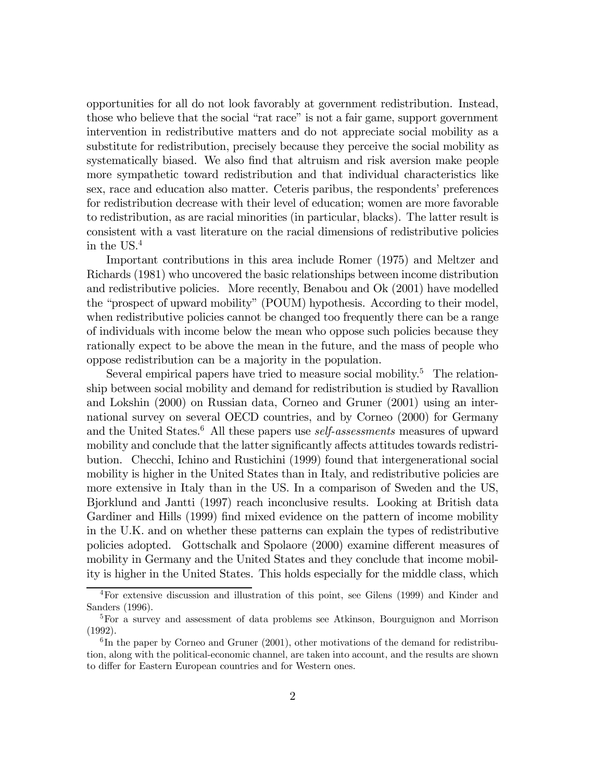opportunities for all do not look favorably at government redistribution. Instead, those who believe that the social "rat race" is not a fair game, support government intervention in redistributive matters and do not appreciate social mobility as a substitute for redistribution, precisely because they perceive the social mobility as systematically biased. We also find that altruism and risk aversion make people more sympathetic toward redistribution and that individual characteristics like sex, race and education also matter. Ceteris paribus, the respondents' preferences for redistribution decrease with their level of education; women are more favorable to redistribution, as are racial minorities (in particular, blacks). The latter result is consistent with a vast literature on the racial dimensions of redistributive policies in the US.4

Important contributions in this area include Romer (1975) and Meltzer and Richards (1981) who uncovered the basic relationships between income distribution and redistributive policies. More recently, Benabou and Ok (2001) have modelled the "prospect of upward mobility" (POUM) hypothesis. According to their model, when redistributive policies cannot be changed too frequently there can be a range of individuals with income below the mean who oppose such policies because they rationally expect to be above the mean in the future, and the mass of people who oppose redistribution can be a majority in the population.

Several empirical papers have tried to measure social mobility.<sup>5</sup> The relationship between social mobility and demand for redistribution is studied by Ravallion and Lokshin (2000) on Russian data, Corneo and Gruner (2001) using an international survey on several OECD countries, and by Corneo (2000) for Germany and the United States. $6$  All these papers use *self-assessments* measures of upward mobility and conclude that the latter significantly affects attitudes towards redistribution. Checchi, Ichino and Rustichini (1999) found that intergenerational social mobility is higher in the United States than in Italy, and redistributive policies are more extensive in Italy than in the US. In a comparison of Sweden and the US, Bjorklund and Jantti (1997) reach inconclusive results. Looking at British data Gardiner and Hills (1999) find mixed evidence on the pattern of income mobility in the U.K. and on whether these patterns can explain the types of redistributive policies adopted. Gottschalk and Spolaore (2000) examine different measures of mobility in Germany and the United States and they conclude that income mobility is higher in the United States. This holds especially for the middle class, which

<sup>4</sup>For extensive discussion and illustration of this point, see Gilens (1999) and Kinder and Sanders (1996).

<sup>5</sup>For a survey and assessment of data problems see Atkinson, Bourguignon and Morrison (1992).

 $6$ In the paper by Corneo and Gruner (2001), other motivations of the demand for redistribution, along with the political-economic channel, are taken into account, and the results are shown to differ for Eastern European countries and for Western ones.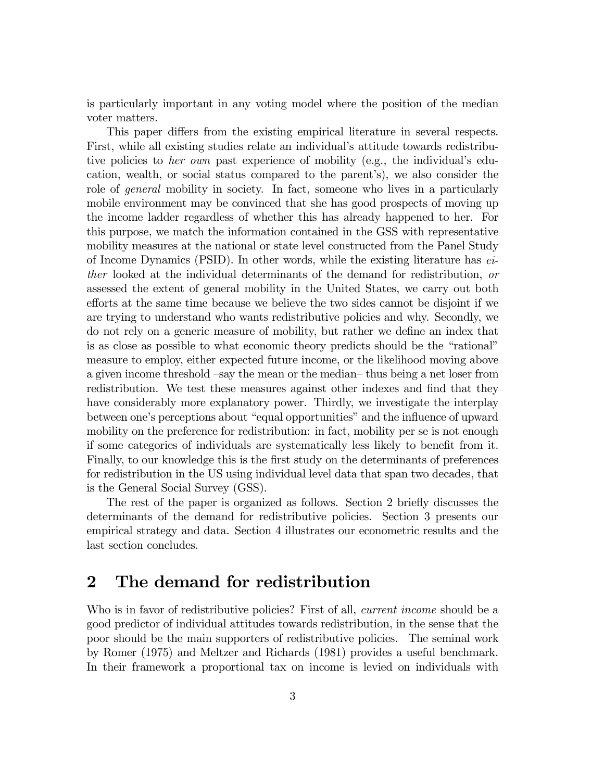is particularly important in any voting model where the position of the median voter matters.

This paper differs from the existing empirical literature in several respects. First, while all existing studies relate an individual's attitude towards redistributive policies to *her own* past experience of mobility (e.g., the individual's education, wealth, or social status compared to the parent's), we also consider the role of *general* mobility in society. In fact, someone who lives in a particularly mobile environment may be convinced that she has good prospects of moving up the income ladder regardless of whether this has already happened to her. For this purpose, we match the information contained in the GSS with representative mobility measures at the national or state level constructed from the Panel Study of Income Dynamics (PSID). In other words, while the existing literature has either looked at the individual determinants of the demand for redistribution, or assessed the extent of general mobility in the United States, we carry out both efforts at the same time because we believe the two sides cannot be disjoint if we are trying to understand who wants redistributive policies and why. Secondly, we do not rely on a generic measure of mobility, but rather we define an index that is as close as possible to what economic theory predicts should be the "rational" measure to employ, either expected future income, or the likelihood moving above a given income threshold –say the mean or the median– thus being a net loser from redistribution. We test these measures against other indexes and find that they have considerably more explanatory power. Thirdly, we investigate the interplay between one's perceptions about "equal opportunities" and the influence of upward mobility on the preference for redistribution: in fact, mobility per se is not enough if some categories of individuals are systematically less likely to benefit from it. Finally, to our knowledge this is the first study on the determinants of preferences for redistribution in the US using individual level data that span two decades, that is the General Social Survey (GSS).

The rest of the paper is organized as follows. Section 2 briefly discusses the determinants of the demand for redistributive policies. Section 3 presents our empirical strategy and data. Section 4 illustrates our econometric results and the last section concludes.

## 2 The demand for redistribution

Who is in favor of redistributive policies? First of all, *current income* should be a good predictor of individual attitudes towards redistribution, in the sense that the poor should be the main supporters of redistributive policies. The seminal work by Romer (1975) and Meltzer and Richards (1981) provides a useful benchmark. In their framework a proportional tax on income is levied on individuals with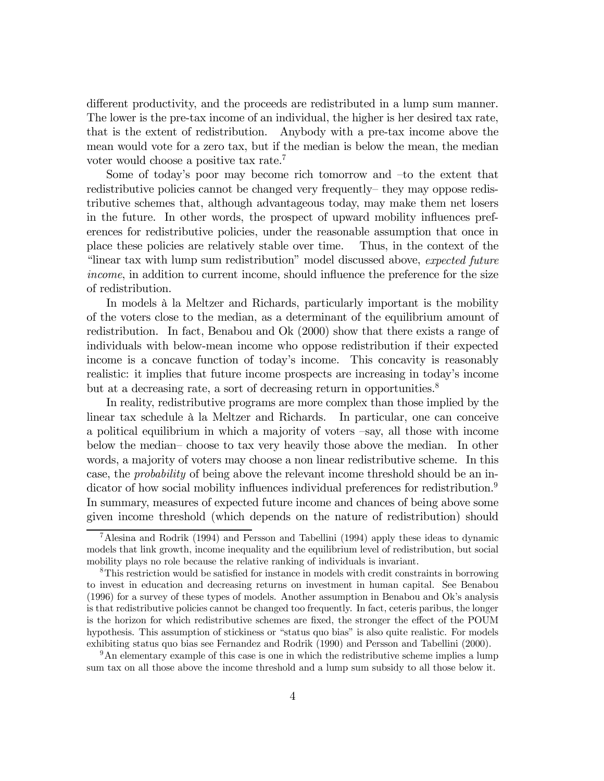different productivity, and the proceeds are redistributed in a lump sum manner. The lower is the pre-tax income of an individual, the higher is her desired tax rate, that is the extent of redistribution. Anybody with a pre-tax income above the mean would vote for a zero tax, but if the median is below the mean, the median voter would choose a positive tax rate.7

Some of today's poor may become rich tomorrow and –to the extent that redistributive policies cannot be changed very frequently– they may oppose redistributive schemes that, although advantageous today, may make them net losers in the future. In other words, the prospect of upward mobility influences preferences for redistributive policies, under the reasonable assumption that once in place these policies are relatively stable over time. Thus, in the context of the "linear tax with lump sum redistribution" model discussed above, expected future income, in addition to current income, should influence the preference for the size of redistribution.

In models à la Meltzer and Richards, particularly important is the mobility of the voters close to the median, as a determinant of the equilibrium amount of redistribution. In fact, Benabou and Ok (2000) show that there exists a range of individuals with below-mean income who oppose redistribution if their expected income is a concave function of today's income. This concavity is reasonably realistic: it implies that future income prospects are increasing in today's income but at a decreasing rate, a sort of decreasing return in opportunities.<sup>8</sup>

In reality, redistributive programs are more complex than those implied by the linear tax schedule à la Meltzer and Richards. In particular, one can conceive a political equilibrium in which a majority of voters –say, all those with income below the median– choose to tax very heavily those above the median. In other words, a majority of voters may choose a non linear redistributive scheme. In this case, the probability of being above the relevant income threshold should be an indicator of how social mobility influences individual preferences for redistribution.<sup>9</sup> In summary, measures of expected future income and chances of being above some given income threshold (which depends on the nature of redistribution) should

<sup>9</sup>An elementary example of this case is one in which the redistributive scheme implies a lump sum tax on all those above the income threshold and a lump sum subsidy to all those below it.

<sup>7</sup>Alesina and Rodrik (1994) and Persson and Tabellini (1994) apply these ideas to dynamic models that link growth, income inequality and the equilibrium level of redistribution, but social mobility plays no role because the relative ranking of individuals is invariant.

 $8$ This restriction would be satisfied for instance in models with credit constraints in borrowing to invest in education and decreasing returns on investment in human capital. See Benabou (1996) for a survey of these types of models. Another assumption in Benabou and Ok's analysis is that redistributive policies cannot be changed too frequently. In fact, ceteris paribus, the longer is the horizon for which redistributive schemes are fixed, the stronger the effect of the POUM hypothesis. This assumption of stickiness or "status quo bias" is also quite realistic. For models exhibiting status quo bias see Fernandez and Rodrik (1990) and Persson and Tabellini (2000).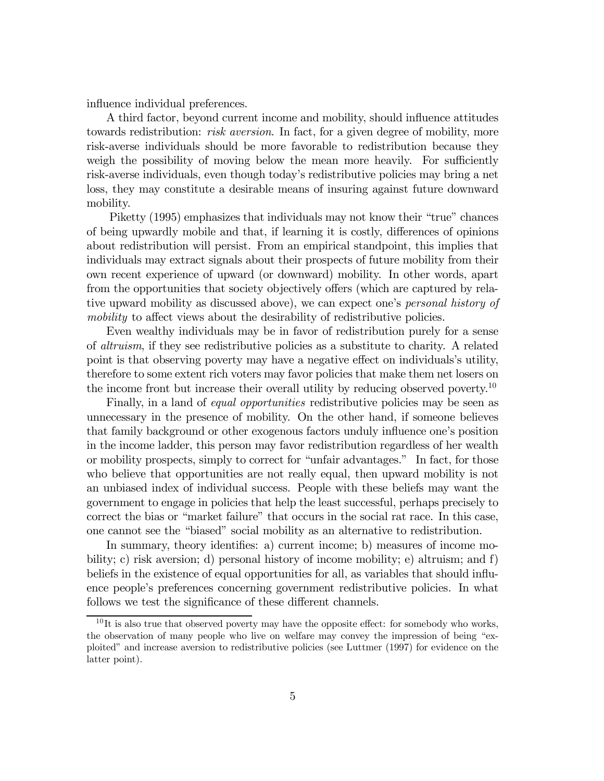influence individual preferences.

A third factor, beyond current income and mobility, should in‡uence attitudes towards redistribution: *risk aversion*. In fact, for a given degree of mobility, more risk-averse individuals should be more favorable to redistribution because they weigh the possibility of moving below the mean more heavily. For sufficiently risk-averse individuals, even though today's redistributive policies may bring a net loss, they may constitute a desirable means of insuring against future downward mobility.

Piketty (1995) emphasizes that individuals may not know their "true" chances of being upwardly mobile and that, if learning it is costly, differences of opinions about redistribution will persist. From an empirical standpoint, this implies that individuals may extract signals about their prospects of future mobility from their own recent experience of upward (or downward) mobility. In other words, apart from the opportunities that society objectively offers (which are captured by relative upward mobility as discussed above), we can expect one's personal history of mobility to affect views about the desirability of redistributive policies.

Even wealthy individuals may be in favor of redistribution purely for a sense of altruism, if they see redistributive policies as a substitute to charity. A related point is that observing poverty may have a negative effect on individuals's utility, therefore to some extent rich voters may favor policies that make them net losers on the income front but increase their overall utility by reducing observed poverty.<sup>10</sup>

Finally, in a land of *equal opportunities* redistributive policies may be seen as unnecessary in the presence of mobility. On the other hand, if someone believes that family background or other exogenous factors unduly in‡uence one's position in the income ladder, this person may favor redistribution regardless of her wealth or mobility prospects, simply to correct for "unfair advantages." In fact, for those who believe that opportunities are not really equal, then upward mobility is not an unbiased index of individual success. People with these beliefs may want the government to engage in policies that help the least successful, perhaps precisely to correct the bias or "market failure" that occurs in the social rat race. In this case, one cannot see the "biased" social mobility as an alternative to redistribution.

In summary, theory identifies: a) current income; b) measures of income mobility; c) risk aversion; d) personal history of income mobility; e) altruism; and f) beliefs in the existence of equal opportunities for all, as variables that should influence people's preferences concerning government redistributive policies. In what follows we test the significance of these different channels.

 $10$ It is also true that observed poverty may have the opposite effect: for somebody who works, the observation of many people who live on welfare may convey the impression of being "exploited" and increase aversion to redistributive policies (see Luttmer (1997) for evidence on the latter point).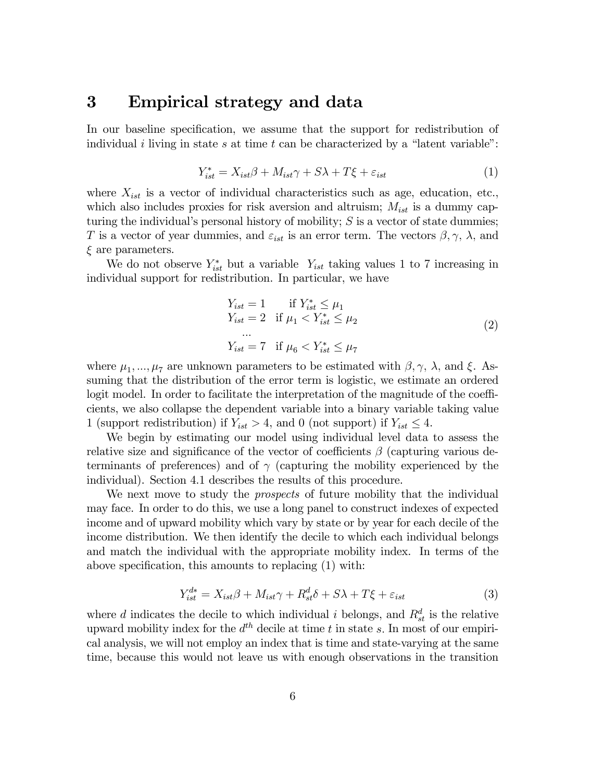## 3 Empirical strategy and data

In our baseline specification, we assume that the support for redistribution of individual i living in state s at time t can be characterized by a "latent variable":

$$
Y_{ist}^* = X_{ist}\beta + M_{ist}\gamma + S\lambda + T\xi + \varepsilon_{ist} \tag{1}
$$

where  $X_{ist}$  is a vector of individual characteristics such as age, education, etc., which also includes proxies for risk aversion and altruism;  $M_{ist}$  is a dummy capturing the individual's personal history of mobility;  $S$  is a vector of state dummies; T is a vector of year dummies, and  $\varepsilon_{ist}$  is an error term. The vectors  $\beta, \gamma, \lambda$ , and  $\xi$  are parameters.

We do not observe  $Y_{ist}^*$  but a variable  $Y_{ist}$  taking values 1 to 7 increasing in individual support for redistribution. In particular, we have

$$
Y_{ist} = 1 \quad \text{if } Y_{ist}^* \le \mu_1
$$
  
\n
$$
Y_{ist} = 2 \quad \text{if } \mu_1 < Y_{ist}^* \le \mu_2
$$
  
\n...  
\n
$$
Y_{ist} = 7 \quad \text{if } \mu_6 < Y_{ist}^* \le \mu_7
$$
\n
$$
(2)
$$

where  $\mu_1, ..., \mu_7$  are unknown parameters to be estimated with  $\beta, \gamma, \lambda$ , and  $\xi$ . Assuming that the distribution of the error term is logistic, we estimate an ordered logit model. In order to facilitate the interpretation of the magnitude of the coefficients, we also collapse the dependent variable into a binary variable taking value 1 (support redistribution) if  $Y_{ist} > 4$ , and 0 (not support) if  $Y_{ist} \leq 4$ .

We begin by estimating our model using individual level data to assess the relative size and significance of the vector of coefficients  $\beta$  (capturing various determinants of preferences) and of  $\gamma$  (capturing the mobility experienced by the individual). Section 4.1 describes the results of this procedure.

We next move to study the *prospects* of future mobility that the individual may face. In order to do this, we use a long panel to construct indexes of expected income and of upward mobility which vary by state or by year for each decile of the income distribution. We then identify the decile to which each individual belongs and match the individual with the appropriate mobility index. In terms of the above specification, this amounts to replacing  $(1)$  with:

$$
Y_{ist}^{d*} = X_{ist}\beta + M_{ist}\gamma + R_{st}^d\delta + S\lambda + T\xi + \varepsilon_{ist}
$$
\n(3)

where d indicates the decile to which individual i belongs, and  $R_{st}^d$  is the relative upward mobility index for the  $d^{th}$  decile at time t in state s. In most of our empirical analysis, we will not employ an index that is time and state-varying at the same time, because this would not leave us with enough observations in the transition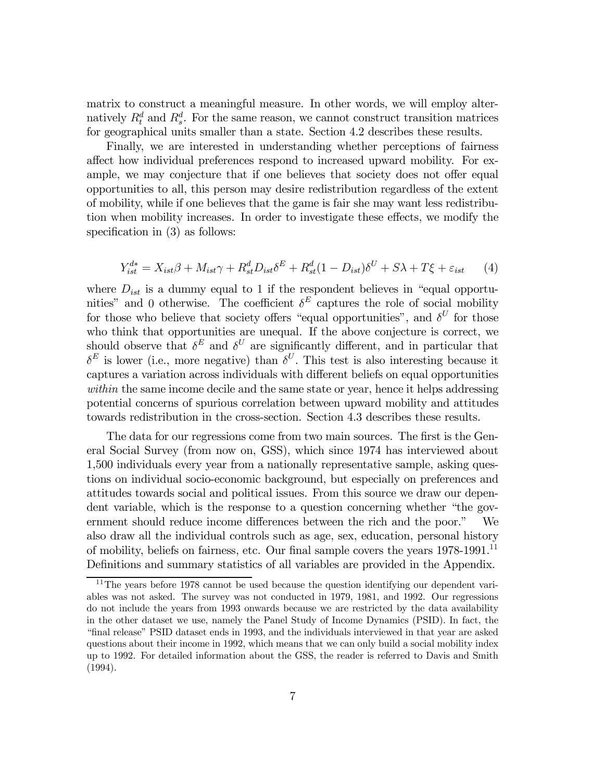matrix to construct a meaningful measure. In other words, we will employ alternatively  $R_t^d$  and  $R_s^d$ . For the same reason, we cannot construct transition matrices for geographical units smaller than a state. Section 4.2 describes these results.

Finally, we are interested in understanding whether perceptions of fairness affect how individual preferences respond to increased upward mobility. For example, we may conjecture that if one believes that society does not offer equal opportunities to all, this person may desire redistribution regardless of the extent of mobility, while if one believes that the game is fair she may want less redistribution when mobility increases. In order to investigate these effects, we modify the specification in  $(3)$  as follows:

$$
Y_{ist}^{d*} = X_{ist}\beta + M_{ist}\gamma + R_{st}^d D_{ist}\delta^E + R_{st}^d (1 - D_{ist})\delta^U + S\lambda + T\xi + \varepsilon_{ist} \tag{4}
$$

where  $D_{ist}$  is a dummy equal to 1 if the respondent believes in "equal opportunities" and 0 otherwise. The coefficient  $\delta^E$  captures the role of social mobility for those who believe that society offers "equal opportunities", and  $\delta^U$  for those who think that opportunities are unequal. If the above conjecture is correct, we should observe that  $\delta^E$  and  $\delta^U$  are significantly different, and in particular that  $\delta^E$  is lower (i.e., more negative) than  $\delta^U$ . This test is also interesting because it captures a variation across individuals with different beliefs on equal opportunities within the same income decile and the same state or year, hence it helps addressing potential concerns of spurious correlation between upward mobility and attitudes towards redistribution in the cross-section. Section 4.3 describes these results.

The data for our regressions come from two main sources. The first is the General Social Survey (from now on, GSS), which since 1974 has interviewed about 1,500 individuals every year from a nationally representative sample, asking questions on individual socio-economic background, but especially on preferences and attitudes towards social and political issues. From this source we draw our dependent variable, which is the response to a question concerning whether "the government should reduce income differences between the rich and the poor." We also draw all the individual controls such as age, sex, education, personal history of mobility, beliefs on fairness, etc. Our final sample covers the years  $1978-1991$ .<sup>11</sup> Definitions and summary statistics of all variables are provided in the Appendix.

<sup>&</sup>lt;sup>11</sup>The years before 1978 cannot be used because the question identifying our dependent variables was not asked. The survey was not conducted in 1979, 1981, and 1992. Our regressions do not include the years from 1993 onwards because we are restricted by the data availability in the other dataset we use, namely the Panel Study of Income Dynamics (PSID). In fact, the "…nal release" PSID dataset ends in 1993, and the individuals interviewed in that year are asked questions about their income in 1992, which means that we can only build a social mobility index up to 1992. For detailed information about the GSS, the reader is referred to Davis and Smith (1994).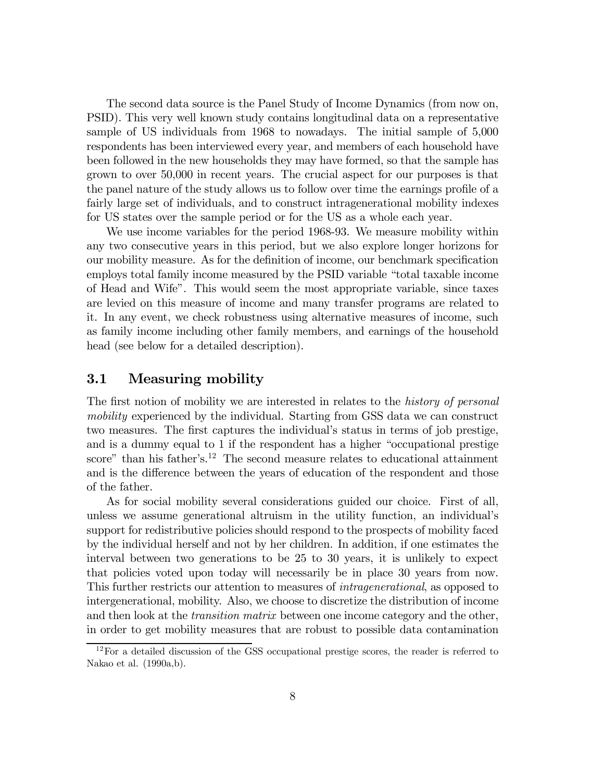The second data source is the Panel Study of Income Dynamics (from now on, PSID). This very well known study contains longitudinal data on a representative sample of US individuals from 1968 to nowadays. The initial sample of 5,000 respondents has been interviewed every year, and members of each household have been followed in the new households they may have formed, so that the sample has grown to over 50,000 in recent years. The crucial aspect for our purposes is that the panel nature of the study allows us to follow over time the earnings profile of a fairly large set of individuals, and to construct intragenerational mobility indexes for US states over the sample period or for the US as a whole each year.

We use income variables for the period 1968-93. We measure mobility within any two consecutive years in this period, but we also explore longer horizons for our mobility measure. As for the definition of income, our benchmark specification employs total family income measured by the PSID variable "total taxable income of Head and Wife". This would seem the most appropriate variable, since taxes are levied on this measure of income and many transfer programs are related to it. In any event, we check robustness using alternative measures of income, such as family income including other family members, and earnings of the household head (see below for a detailed description).

## 3.1 Measuring mobility

The first notion of mobility we are interested in relates to the *history of personal* mobility experienced by the individual. Starting from GSS data we can construct two measures. The first captures the individual's status in terms of job prestige, and is a dummy equal to 1 if the respondent has a higher "occupational prestige score" than his father's.<sup>12</sup> The second measure relates to educational attainment and is the difference between the years of education of the respondent and those of the father.

As for social mobility several considerations guided our choice. First of all, unless we assume generational altruism in the utility function, an individual's support for redistributive policies should respond to the prospects of mobility faced by the individual herself and not by her children. In addition, if one estimates the interval between two generations to be 25 to 30 years, it is unlikely to expect that policies voted upon today will necessarily be in place 30 years from now. This further restricts our attention to measures of intragenerational, as opposed to intergenerational, mobility. Also, we choose to discretize the distribution of income and then look at the *transition matrix* between one income category and the other, in order to get mobility measures that are robust to possible data contamination

 $12$ For a detailed discussion of the GSS occupational prestige scores, the reader is referred to Nakao et al. (1990a,b).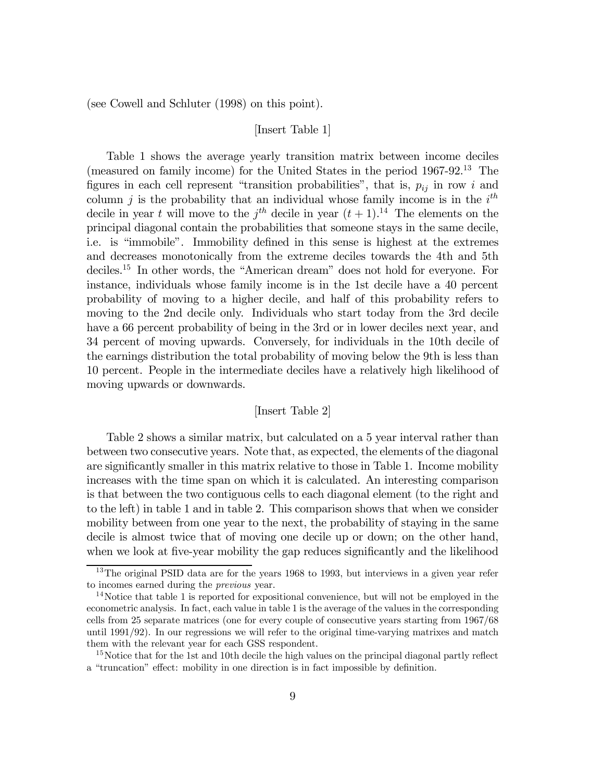(see Cowell and Schluter (1998) on this point).

### [Insert Table 1]

Table 1 shows the average yearly transition matrix between income deciles (measured on family income) for the United States in the period 1967-92.13 The figures in each cell represent "transition probabilities", that is,  $p_{ij}$  in row i and column j is the probability that an individual whose family income is in the  $i<sup>th</sup>$ decile in year t will move to the  $j<sup>th</sup>$  decile in year  $(t + 1)$ .<sup>14</sup> The elements on the principal diagonal contain the probabilities that someone stays in the same decile, i.e. is "immobile". Immobility defined in this sense is highest at the extremes and decreases monotonically from the extreme deciles towards the 4th and 5th deciles.15 In other words, the "American dream" does not hold for everyone. For instance, individuals whose family income is in the 1st decile have a 40 percent probability of moving to a higher decile, and half of this probability refers to moving to the 2nd decile only. Individuals who start today from the 3rd decile have a 66 percent probability of being in the 3rd or in lower deciles next year, and 34 percent of moving upwards. Conversely, for individuals in the 10th decile of the earnings distribution the total probability of moving below the 9th is less than 10 percent. People in the intermediate deciles have a relatively high likelihood of moving upwards or downwards.

#### [Insert Table 2]

Table 2 shows a similar matrix, but calculated on a 5 year interval rather than between two consecutive years. Note that, as expected, the elements of the diagonal are significantly smaller in this matrix relative to those in Table 1. Income mobility increases with the time span on which it is calculated. An interesting comparison is that between the two contiguous cells to each diagonal element (to the right and to the left) in table 1 and in table 2. This comparison shows that when we consider mobility between from one year to the next, the probability of staying in the same decile is almost twice that of moving one decile up or down; on the other hand, when we look at five-year mobility the gap reduces significantly and the likelihood

<sup>&</sup>lt;sup>13</sup>The original PSID data are for the years 1968 to 1993, but interviews in a given year refer to incomes earned during the previous year.

 $14$ Notice that table 1 is reported for expositional convenience, but will not be employed in the econometric analysis. In fact, each value in table 1 is the average of the values in the corresponding cells from 25 separate matrices (one for every couple of consecutive years starting from 1967/68 until 1991/92). In our regressions we will refer to the original time-varying matrixes and match them with the relevant year for each GSS respondent.

 $15$ Notice that for the 1st and 10th decile the high values on the principal diagonal partly reflect a "truncation" effect: mobility in one direction is in fact impossible by definition.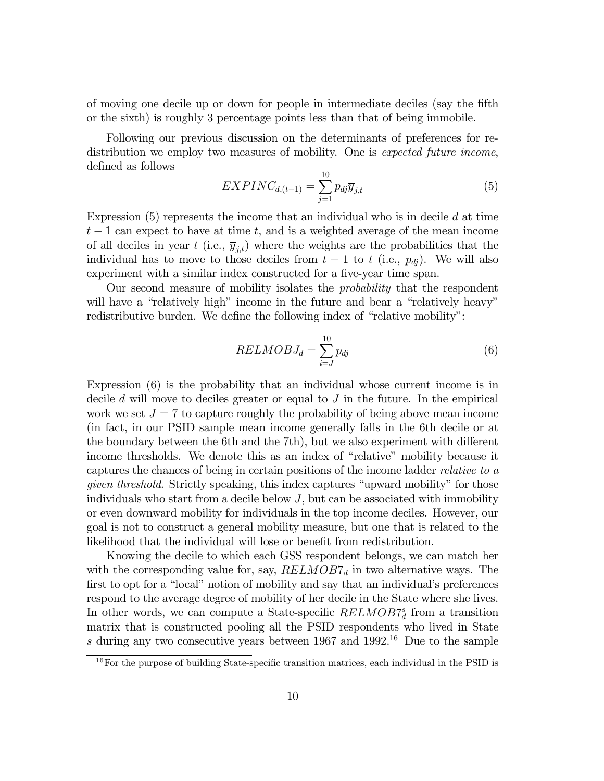of moving one decile up or down for people in intermediate deciles (say the fifth or the sixth) is roughly 3 percentage points less than that of being immobile.

Following our previous discussion on the determinants of preferences for redistribution we employ two measures of mobility. One is expected future income, defined as follows

$$
EXPINC_{d,(t-1)} = \sum_{j=1}^{10} p_{dj} \overline{y}_{j,t}
$$
\n
$$
(5)
$$

Expression  $(5)$  represents the income that an individual who is in decile d at time  $t-1$  can expect to have at time t, and is a weighted average of the mean income of all deciles in year t (i.e.,  $\overline{y}_{i,t}$ ) where the weights are the probabilities that the individual has to move to those deciles from  $t-1$  to t (i.e.,  $p_{dj}$ ). We will also experiment with a similar index constructed for a five-year time span.

Our second measure of mobility isolates the probability that the respondent will have a "relatively high" income in the future and bear a "relatively heavy" redistributive burden. We define the following index of "relative mobility":

$$
RELMOBJ_d = \sum_{i=J}^{10} p_{dj} \tag{6}
$$

Expression (6) is the probability that an individual whose current income is in decile  $d$  will move to deciles greater or equal to  $J$  in the future. In the empirical work we set  $J = 7$  to capture roughly the probability of being above mean income (in fact, in our PSID sample mean income generally falls in the 6th decile or at the boundary between the 6th and the 7th), but we also experiment with different income thresholds. We denote this as an index of "relative" mobility because it captures the chances of being in certain positions of the income ladder relative to a given threshold. Strictly speaking, this index captures "upward mobility" for those individuals who start from a decile below  $J$ , but can be associated with immobility or even downward mobility for individuals in the top income deciles. However, our goal is not to construct a general mobility measure, but one that is related to the likelihood that the individual will lose or benefit from redistribution.

Knowing the decile to which each GSS respondent belongs, we can match her with the corresponding value for, say,  $RELMOB7_d$  in two alternative ways. The first to opt for a "local" notion of mobility and say that an individual's preferences respond to the average degree of mobility of her decile in the State where she lives. In other words, we can compute a State-specific  $RELMOB7_d^s$  from a transition matrix that is constructed pooling all the PSID respondents who lived in State s during any two consecutive years between 1967 and 1992.16 Due to the sample

 $16$  For the purpose of building State-specific transition matrices, each individual in the PSID is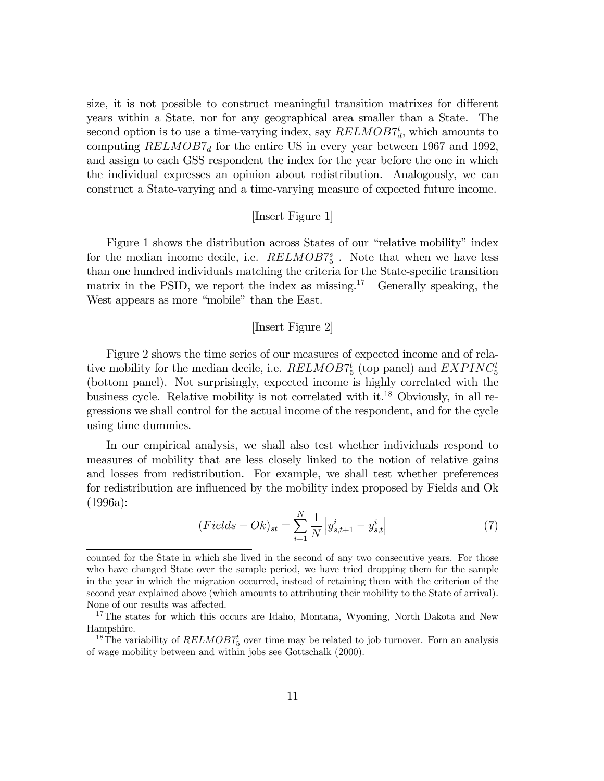size, it is not possible to construct meaningful transition matrixes for different years within a State, nor for any geographical area smaller than a State. The second option is to use a time-varying index, say  $RELMOB7_d^t$ , which amounts to computing  $RELMOB7_d$  for the entire US in every year between 1967 and 1992, and assign to each GSS respondent the index for the year before the one in which the individual expresses an opinion about redistribution. Analogously, we can construct a State-varying and a time-varying measure of expected future income.

#### [Insert Figure 1]

Figure 1 shows the distribution across States of our "relative mobility" index for the median income decile, i.e.  $RELMOB7^s_5$ . Note that when we have less than one hundred individuals matching the criteria for the State-specific transition matrix in the PSID, we report the index as missing.<sup>17</sup> Generally speaking, the West appears as more "mobile" than the East.

#### [Insert Figure 2]

Figure 2 shows the time series of our measures of expected income and of relative mobility for the median decile, i.e.  $RELMOB7^t_5$  (top panel) and  $EXPINC^t_5$ (bottom panel). Not surprisingly, expected income is highly correlated with the business cycle. Relative mobility is not correlated with it.18 Obviously, in all regressions we shall control for the actual income of the respondent, and for the cycle using time dummies.

In our empirical analysis, we shall also test whether individuals respond to measures of mobility that are less closely linked to the notion of relative gains and losses from redistribution. For example, we shall test whether preferences for redistribution are influenced by the mobility index proposed by Fields and Ok (1996a):

$$
(Fields - Ok)_{st} = \sum_{i=1}^{N} \frac{1}{N} \left| y_{s,t+1}^{i} - y_{s,t}^{i} \right|
$$
 (7)

counted for the State in which she lived in the second of any two consecutive years. For those who have changed State over the sample period, we have tried dropping them for the sample in the year in which the migration occurred, instead of retaining them with the criterion of the second year explained above (which amounts to attributing their mobility to the State of arrival). None of our results was affected.

<sup>&</sup>lt;sup>17</sup>The states for which this occurs are Idaho, Montana, Wyoming, North Dakota and New Hampshire.

<sup>&</sup>lt;sup>18</sup>The variability of  $RELMOB7_5^t$  over time may be related to job turnover. Forn an analysis of wage mobility between and within jobs see Gottschalk (2000).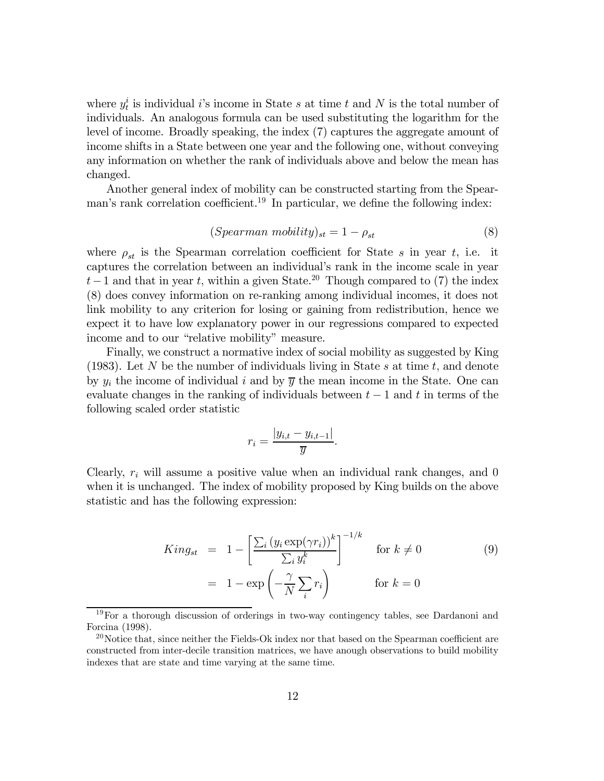where  $y_t^i$  is individual *i*'s income in State *s* at time *t* and *N* is the total number of individuals. An analogous formula can be used substituting the logarithm for the level of income. Broadly speaking, the index (7) captures the aggregate amount of income shifts in a State between one year and the following one, without conveying any information on whether the rank of individuals above and below the mean has changed.

Another general index of mobility can be constructed starting from the Spearman's rank correlation coefficient.<sup>19</sup> In particular, we define the following index:

$$
(Spearman\ mobility)_{st} = 1 - \rho_{st} \tag{8}
$$

where  $\rho_{st}$  is the Spearman correlation coefficient for State s in year t, i.e. it captures the correlation between an individual's rank in the income scale in year  $t-1$  and that in year t, within a given State.<sup>20</sup> Though compared to (7) the index (8) does convey information on re-ranking among individual incomes, it does not link mobility to any criterion for losing or gaining from redistribution, hence we expect it to have low explanatory power in our regressions compared to expected income and to our "relative mobility" measure.

Finally, we construct a normative index of social mobility as suggested by King (1983). Let N be the number of individuals living in State s at time  $t$ , and denote by  $y_i$  the income of individual i and by  $\overline{y}$  the mean income in the State. One can evaluate changes in the ranking of individuals between  $t-1$  and t in terms of the following scaled order statistic

$$
r_i = \frac{|y_{i,t} - y_{i,t-1}|}{\overline{y}}.
$$

Clearly,  $r_i$  will assume a positive value when an individual rank changes, and 0 when it is unchanged. The index of mobility proposed by King builds on the above statistic and has the following expression:

$$
King_{st} = 1 - \left[\frac{\sum_{i} (y_i \exp(\gamma r_i))^k}{\sum_{i} y_i^k}\right]^{-1/k} \quad \text{for } k \neq 0
$$
\n
$$
= 1 - \exp\left(-\frac{\gamma}{N} \sum_{i} r_i\right) \qquad \text{for } k = 0
$$
\n(9)

<sup>19</sup>For a thorough discussion of orderings in two-way contingency tables, see Dardanoni and Forcina (1998).

 $^{20}$ Notice that, since neither the Fields-Ok index nor that based on the Spearman coefficient are constructed from inter-decile transition matrices, we have anough observations to build mobility indexes that are state and time varying at the same time.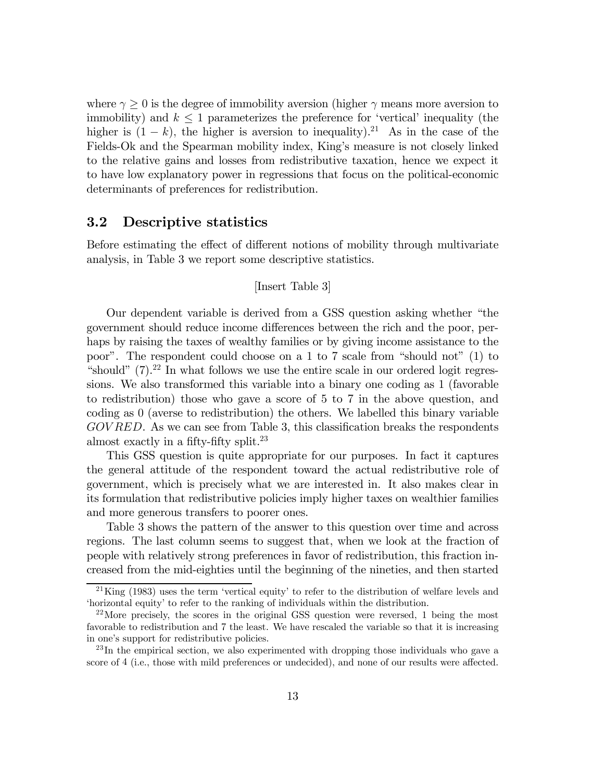where  $\gamma > 0$  is the degree of immobility aversion (higher  $\gamma$  means more aversion to immobility) and  $k \leq 1$  parameterizes the preference for 'vertical' inequality (the higher is  $(1 - k)$ , the higher is aversion to inequality).<sup>21</sup> As in the case of the Fields-Ok and the Spearman mobility index, King's measure is not closely linked to the relative gains and losses from redistributive taxation, hence we expect it to have low explanatory power in regressions that focus on the political-economic determinants of preferences for redistribution.

### 3.2 Descriptive statistics

Before estimating the effect of different notions of mobility through multivariate analysis, in Table 3 we report some descriptive statistics.

#### [Insert Table 3]

Our dependent variable is derived from a GSS question asking whether "the government should reduce income differences between the rich and the poor, perhaps by raising the taxes of wealthy families or by giving income assistance to the poor". The respondent could choose on a 1 to 7 scale from "should not" (1) to "should"  $(7).^{22}$  In what follows we use the entire scale in our ordered logit regressions. We also transformed this variable into a binary one coding as 1 (favorable to redistribution) those who gave a score of 5 to 7 in the above question, and coding as 0 (averse to redistribution) the others. We labelled this binary variable  $GOVRED$ . As we can see from Table 3, this classification breaks the respondents almost exactly in a fifty-fifty split.<sup>23</sup>

This GSS question is quite appropriate for our purposes. In fact it captures the general attitude of the respondent toward the actual redistributive role of government, which is precisely what we are interested in. It also makes clear in its formulation that redistributive policies imply higher taxes on wealthier families and more generous transfers to poorer ones.

Table 3 shows the pattern of the answer to this question over time and across regions. The last column seems to suggest that, when we look at the fraction of people with relatively strong preferences in favor of redistribution, this fraction increased from the mid-eighties until the beginning of the nineties, and then started

<sup>21</sup>King (1983) uses the term 'vertical equity' to refer to the distribution of welfare levels and 'horizontal equity' to refer to the ranking of individuals within the distribution.

<sup>22</sup>More precisely, the scores in the original GSS question were reversed, 1 being the most favorable to redistribution and 7 the least. We have rescaled the variable so that it is increasing in one's support for redistributive policies.

 $^{23}$ In the empirical section, we also experimented with dropping those individuals who gave a score of 4 (i.e., those with mild preferences or undecided), and none of our results were affected.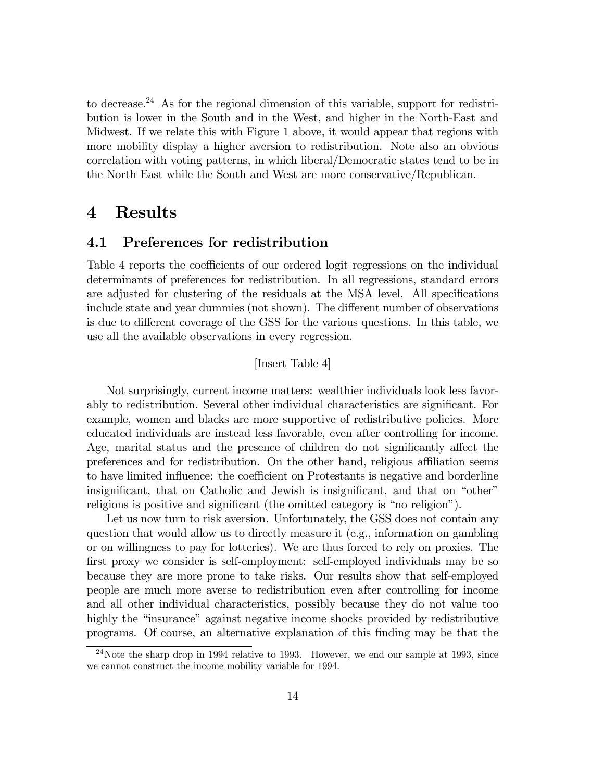to decrease.24 As for the regional dimension of this variable, support for redistribution is lower in the South and in the West, and higher in the North-East and Midwest. If we relate this with Figure 1 above, it would appear that regions with more mobility display a higher aversion to redistribution. Note also an obvious correlation with voting patterns, in which liberal/Democratic states tend to be in the North East while the South and West are more conservative/Republican.

## 4 Results

## 4.1 Preferences for redistribution

Table 4 reports the coefficients of our ordered logit regressions on the individual determinants of preferences for redistribution. In all regressions, standard errors are adjusted for clustering of the residuals at the MSA level. All specifications include state and year dummies (not shown). The different number of observations is due to different coverage of the GSS for the various questions. In this table, we use all the available observations in every regression.

### [Insert Table 4]

Not surprisingly, current income matters: wealthier individuals look less favorably to redistribution. Several other individual characteristics are significant. For example, women and blacks are more supportive of redistributive policies. More educated individuals are instead less favorable, even after controlling for income. Age, marital status and the presence of children do not significantly affect the preferences and for redistribution. On the other hand, religious a¢liation seems to have limited influence: the coefficient on Protestants is negative and borderline insignificant, that on Catholic and Jewish is insignificant, and that on "other" religions is positive and significant (the omitted category is "no religion").

Let us now turn to risk aversion. Unfortunately, the GSS does not contain any question that would allow us to directly measure it (e.g., information on gambling or on willingness to pay for lotteries). We are thus forced to rely on proxies. The first proxy we consider is self-employment: self-employed individuals may be so because they are more prone to take risks. Our results show that self-employed people are much more averse to redistribution even after controlling for income and all other individual characteristics, possibly because they do not value too highly the "insurance" against negative income shocks provided by redistributive programs. Of course, an alternative explanation of this finding may be that the

 $24$ Note the sharp drop in 1994 relative to 1993. However, we end our sample at 1993, since we cannot construct the income mobility variable for 1994.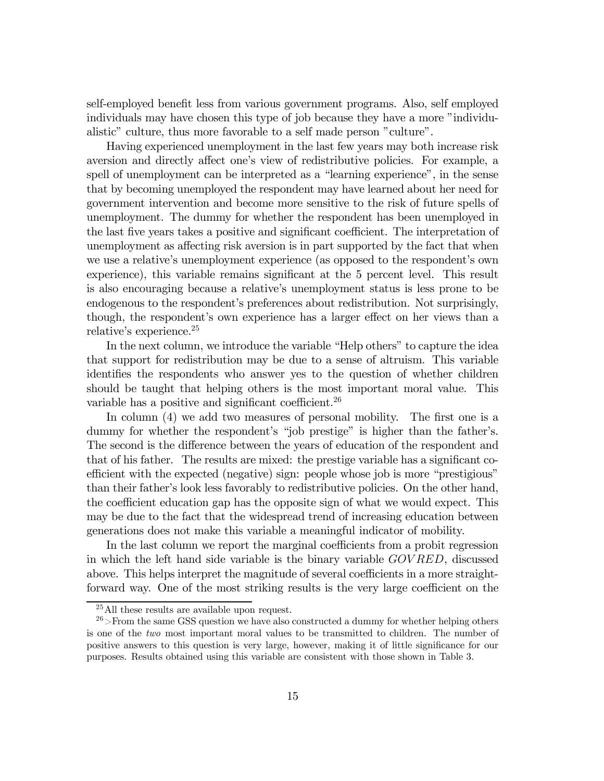self-employed benefit less from various government programs. Also, self employed individuals may have chosen this type of job because they have a more "individualistic" culture, thus more favorable to a self made person "culture".

Having experienced unemployment in the last few years may both increase risk aversion and directly affect one's view of redistributive policies. For example, a spell of unemployment can be interpreted as a "learning experience", in the sense that by becoming unemployed the respondent may have learned about her need for government intervention and become more sensitive to the risk of future spells of unemployment. The dummy for whether the respondent has been unemployed in the last five years takes a positive and significant coefficient. The interpretation of unemployment as affecting risk aversion is in part supported by the fact that when we use a relative's unemployment experience (as opposed to the respondent's own experience), this variable remains significant at the 5 percent level. This result is also encouraging because a relative's unemployment status is less prone to be endogenous to the respondent's preferences about redistribution. Not surprisingly, though, the respondent's own experience has a larger effect on her views than a relative's experience.<sup>25</sup>

In the next column, we introduce the variable "Help others" to capture the idea that support for redistribution may be due to a sense of altruism. This variable identifies the respondents who answer yes to the question of whether children should be taught that helping others is the most important moral value. This variable has a positive and significant coefficient.<sup>26</sup>

In column  $(4)$  we add two measures of personal mobility. The first one is a dummy for whether the respondent's "job prestige" is higher than the father's. The second is the difference between the years of education of the respondent and that of his father. The results are mixed: the prestige variable has a significant coefficient with the expected (negative) sign: people whose job is more "prestigious" than their father's look less favorably to redistributive policies. On the other hand, the coefficient education gap has the opposite sign of what we would expect. This may be due to the fact that the widespread trend of increasing education between generations does not make this variable a meaningful indicator of mobility.

In the last column we report the marginal coefficients from a probit regression in which the left hand side variable is the binary variable GOV RED, discussed above. This helps interpret the magnitude of several coefficients in a more straightforward way. One of the most striking results is the very large coefficient on the

<sup>25</sup>All these results are available upon request.

 $26$ >From the same GSS question we have also constructed a dummy for whether helping others is one of the two most important moral values to be transmitted to children. The number of positive answers to this question is very large, however, making it of little significance for our purposes. Results obtained using this variable are consistent with those shown in Table 3.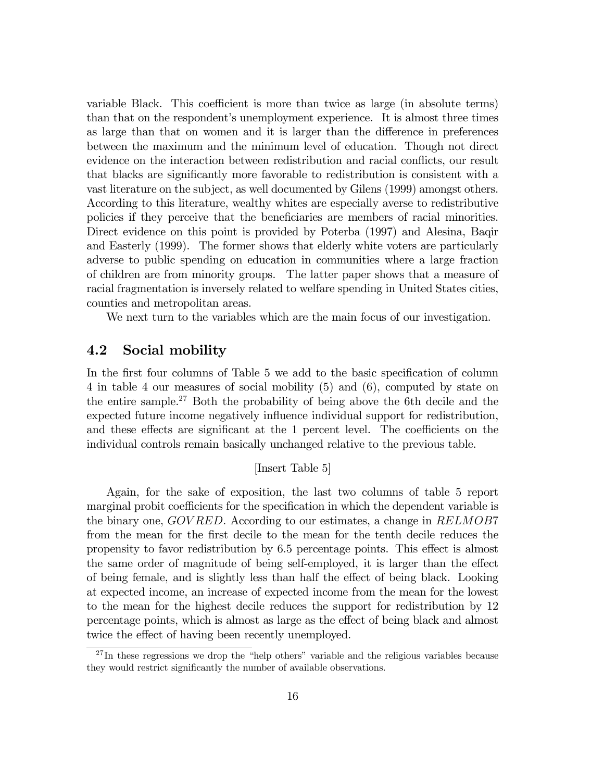variable Black. This coefficient is more than twice as large (in absolute terms) than that on the respondent's unemployment experience. It is almost three times as large than that on women and it is larger than the difference in preferences between the maximum and the minimum level of education. Though not direct evidence on the interaction between redistribution and racial conflicts, our result that blacks are significantly more favorable to redistribution is consistent with a vast literature on the subject, as well documented by Gilens (1999) amongst others. According to this literature, wealthy whites are especially averse to redistributive policies if they perceive that the beneficiaries are members of racial minorities. Direct evidence on this point is provided by Poterba (1997) and Alesina, Baqir and Easterly (1999). The former shows that elderly white voters are particularly adverse to public spending on education in communities where a large fraction of children are from minority groups. The latter paper shows that a measure of racial fragmentation is inversely related to welfare spending in United States cities, counties and metropolitan areas.

We next turn to the variables which are the main focus of our investigation.

## 4.2 Social mobility

In the first four columns of Table 5 we add to the basic specification of column 4 in table 4 our measures of social mobility (5) and (6), computed by state on the entire sample.<sup>27</sup> Both the probability of being above the 6th decile and the expected future income negatively influence individual support for redistribution, and these effects are significant at the 1 percent level. The coefficients on the individual controls remain basically unchanged relative to the previous table.

### [Insert Table 5]

Again, for the sake of exposition, the last two columns of table 5 report marginal probit coefficients for the specification in which the dependent variable is the binary one, GOVRED. According to our estimates, a change in RELMOB7 from the mean for the first decile to the mean for the tenth decile reduces the propensity to favor redistribution by 6.5 percentage points. This effect is almost the same order of magnitude of being self-employed, it is larger than the effect of being female, and is slightly less than half the effect of being black. Looking at expected income, an increase of expected income from the mean for the lowest to the mean for the highest decile reduces the support for redistribution by 12 percentage points, which is almost as large as the effect of being black and almost twice the effect of having been recently unemployed.

 $27$  In these regressions we drop the "help others" variable and the religious variables because they would restrict significantly the number of available observations.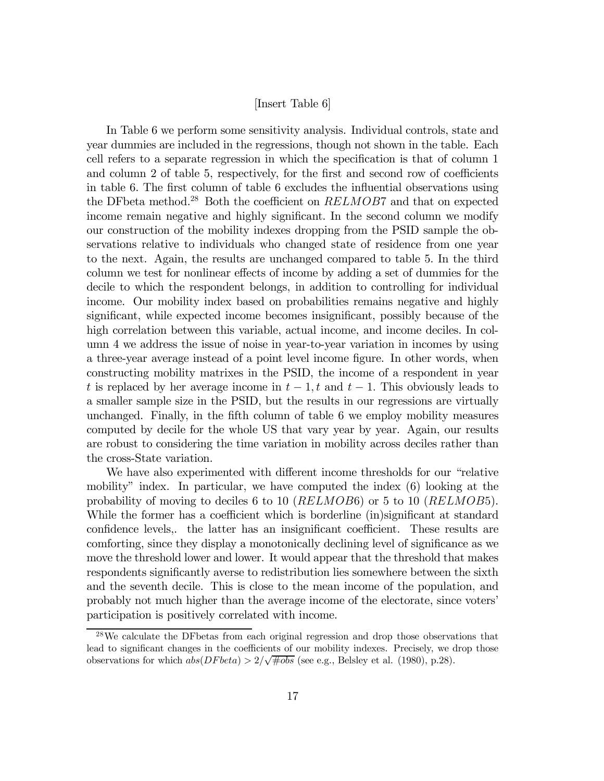#### [Insert Table 6]

In Table 6 we perform some sensitivity analysis. Individual controls, state and year dummies are included in the regressions, though not shown in the table. Each cell refers to a separate regression in which the specification is that of column 1 and column  $2$  of table 5, respectively, for the first and second row of coefficients in table 6. The first column of table 6 excludes the influential observations using the DF beta method.<sup>28</sup> Both the coefficient on  $RELMOB7$  and that on expected income remain negative and highly significant. In the second column we modify our construction of the mobility indexes dropping from the PSID sample the observations relative to individuals who changed state of residence from one year to the next. Again, the results are unchanged compared to table 5. In the third column we test for nonlinear effects of income by adding a set of dummies for the decile to which the respondent belongs, in addition to controlling for individual income. Our mobility index based on probabilities remains negative and highly significant, while expected income becomes insignificant, possibly because of the high correlation between this variable, actual income, and income deciles. In column 4 we address the issue of noise in year-to-year variation in incomes by using a three-year average instead of a point level income figure. In other words, when constructing mobility matrixes in the PSID, the income of a respondent in year t is replaced by her average income in  $t-1$ , t and  $t-1$ . This obviously leads to a smaller sample size in the PSID, but the results in our regressions are virtually unchanged. Finally, in the fifth column of table  $6$  we employ mobility measures computed by decile for the whole US that vary year by year. Again, our results are robust to considering the time variation in mobility across deciles rather than the cross-State variation.

We have also experimented with different income thresholds for our "relative" mobility" index. In particular, we have computed the index (6) looking at the probability of moving to deciles 6 to 10 (RELMOB6) or 5 to 10 (RELMOB5). While the former has a coefficient which is borderline (in)significant at standard confidence levels,. the latter has an insignificant coefficient. These results are comforting, since they display a monotonically declining level of significance as we move the threshold lower and lower. It would appear that the threshold that makes respondents significantly averse to redistribution lies somewhere between the sixth and the seventh decile. This is close to the mean income of the population, and probably not much higher than the average income of the electorate, since voters' participation is positively correlated with income.

<sup>&</sup>lt;sup>28</sup>We calculate the DF betas from each original regression and drop those observations that lead to significant changes in the coefficients of our mobility indexes. Precisely, we drop those observations for which  $\omega(s(DFbeta) > 2/\sqrt{\text{\#obs}}$  (see e.g., Belsley et al. (1980), p.28).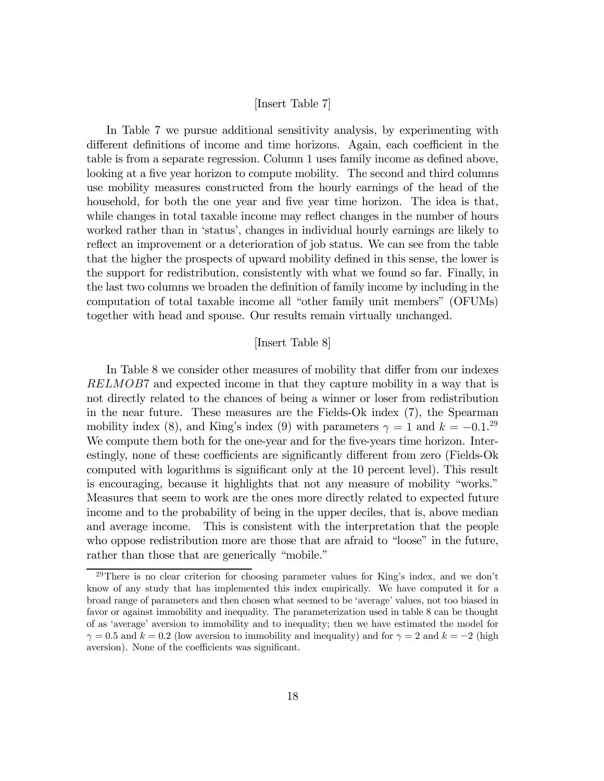#### [Insert Table 7]

In Table 7 we pursue additional sensitivity analysis, by experimenting with different definitions of income and time horizons. Again, each coefficient in the table is from a separate regression. Column 1 uses family income as defined above, looking at a five year horizon to compute mobility. The second and third columns use mobility measures constructed from the hourly earnings of the head of the household, for both the one year and five year time horizon. The idea is that, while changes in total taxable income may reflect changes in the number of hours worked rather than in 'status', changes in individual hourly earnings are likely to reflect an improvement or a deterioration of job status. We can see from the table that the higher the prospects of upward mobility defined in this sense, the lower is the support for redistribution, consistently with what we found so far. Finally, in the last two columns we broaden the definition of family income by including in the computation of total taxable income all "other family unit members" (OFUMs) together with head and spouse. Our results remain virtually unchanged.

#### [Insert Table 8]

In Table 8 we consider other measures of mobility that differ from our indexes RELMOB7 and expected income in that they capture mobility in a way that is not directly related to the chances of being a winner or loser from redistribution in the near future. These measures are the Fields-Ok index (7), the Spearman mobility index (8), and King's index (9) with parameters  $\gamma = 1$  and  $k = -0.1$ .<sup>29</sup> We compute them both for the one-year and for the five-years time horizon. Interestingly, none of these coefficients are significantly different from zero (Fields-Ok computed with logarithms is significant only at the 10 percent level). This result is encouraging, because it highlights that not any measure of mobility "works." Measures that seem to work are the ones more directly related to expected future income and to the probability of being in the upper deciles, that is, above median and average income. This is consistent with the interpretation that the people who oppose redistribution more are those that are afraid to "loose" in the future, rather than those that are generically "mobile."

<sup>&</sup>lt;sup>29</sup>There is no clear criterion for choosing parameter values for King's index, and we don't know of any study that has implemented this index empirically. We have computed it for a broad range of parameters and then chosen what seemed to be 'average' values, not too biased in favor or against immobility and inequality. The parameterization used in table 8 can be thought of as 'average' aversion to immobility and to inequality; then we have estimated the model for  $\gamma = 0.5$  and  $k = 0.2$  (low aversion to immobility and inequality) and for  $\gamma = 2$  and  $k = -2$  (high aversion). None of the coefficients was significant.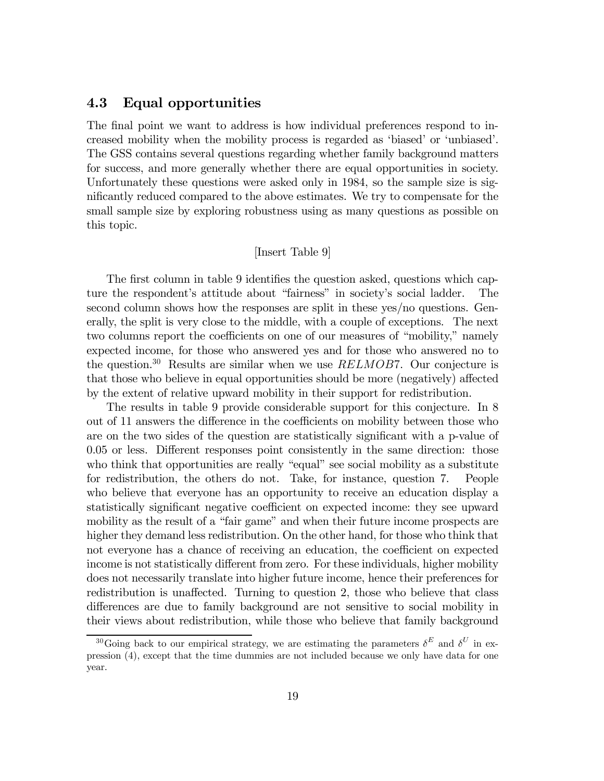## 4.3 Equal opportunities

The final point we want to address is how individual preferences respond to increased mobility when the mobility process is regarded as 'biased' or 'unbiased'. The GSS contains several questions regarding whether family background matters for success, and more generally whether there are equal opportunities in society. Unfortunately these questions were asked only in 1984, so the sample size is significantly reduced compared to the above estimates. We try to compensate for the small sample size by exploring robustness using as many questions as possible on this topic.

#### [Insert Table 9]

The first column in table 9 identifies the question asked, questions which capture the respondent's attitude about "fairness" in society's social ladder. The second column shows how the responses are split in these yes/no questions. Generally, the split is very close to the middle, with a couple of exceptions. The next two columns report the coefficients on one of our measures of "mobility," namely expected income, for those who answered yes and for those who answered no to the question.<sup>30</sup> Results are similar when we use  $RELMOB7$ . Our conjecture is that those who believe in equal opportunities should be more (negatively) affected by the extent of relative upward mobility in their support for redistribution.

The results in table 9 provide considerable support for this conjecture. In 8 out of 11 answers the difference in the coefficients on mobility between those who are on the two sides of the question are statistically significant with a p-value of  $0.05$  or less. Different responses point consistently in the same direction: those who think that opportunities are really "equal" see social mobility as a substitute for redistribution, the others do not. Take, for instance, question 7. People who believe that everyone has an opportunity to receive an education display a statistically significant negative coefficient on expected income: they see upward mobility as the result of a "fair game" and when their future income prospects are higher they demand less redistribution. On the other hand, for those who think that not everyone has a chance of receiving an education, the coefficient on expected income is not statistically different from zero. For these individuals, higher mobility does not necessarily translate into higher future income, hence their preferences for redistribution is unaffected. Turning to question 2, those who believe that class differences are due to family background are not sensitive to social mobility in their views about redistribution, while those who believe that family background

<sup>&</sup>lt;sup>30</sup>Going back to our empirical strategy, we are estimating the parameters  $\delta^E$  and  $\delta^U$  in expression (4), except that the time dummies are not included because we only have data for one year.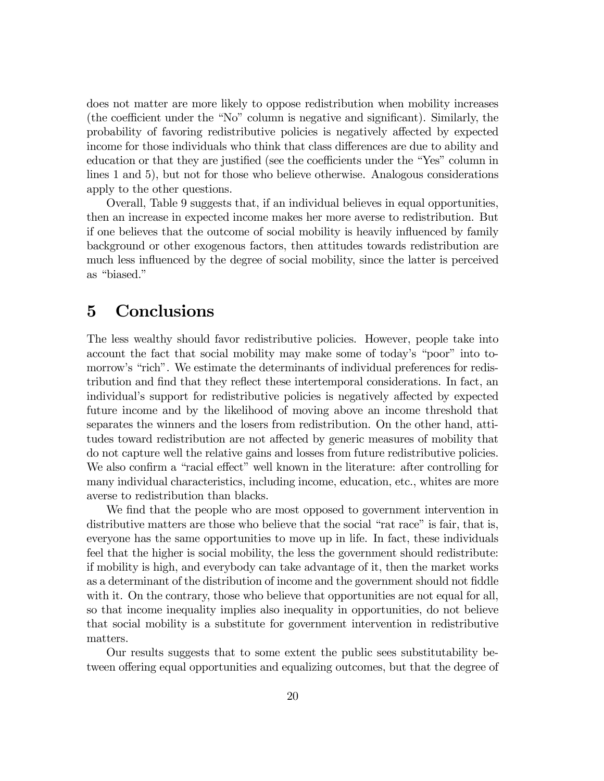does not matter are more likely to oppose redistribution when mobility increases (the coefficient under the "No" column is negative and significant). Similarly, the probability of favoring redistributive policies is negatively a¤ected by expected income for those individuals who think that class differences are due to ability and education or that they are justified (see the coefficients under the "Yes" column in lines 1 and 5), but not for those who believe otherwise. Analogous considerations apply to the other questions.

Overall, Table 9 suggests that, if an individual believes in equal opportunities, then an increase in expected income makes her more averse to redistribution. But if one believes that the outcome of social mobility is heavily in‡uenced by family background or other exogenous factors, then attitudes towards redistribution are much less influenced by the degree of social mobility, since the latter is perceived as "biased."

## 5 Conclusions

The less wealthy should favor redistributive policies. However, people take into account the fact that social mobility may make some of today's "poor" into tomorrow's "rich". We estimate the determinants of individual preferences for redistribution and find that they reflect these intertemporal considerations. In fact, an individual's support for redistributive policies is negatively affected by expected future income and by the likelihood of moving above an income threshold that separates the winners and the losers from redistribution. On the other hand, attitudes toward redistribution are not affected by generic measures of mobility that do not capture well the relative gains and losses from future redistributive policies. We also confirm a "racial effect" well known in the literature: after controlling for many individual characteristics, including income, education, etc., whites are more averse to redistribution than blacks.

We find that the people who are most opposed to government intervention in distributive matters are those who believe that the social "rat race" is fair, that is, everyone has the same opportunities to move up in life. In fact, these individuals feel that the higher is social mobility, the less the government should redistribute: if mobility is high, and everybody can take advantage of it, then the market works as a determinant of the distribution of income and the government should not fiddle with it. On the contrary, those who believe that opportunities are not equal for all, so that income inequality implies also inequality in opportunities, do not believe that social mobility is a substitute for government intervention in redistributive matters.

Our results suggests that to some extent the public sees substitutability between offering equal opportunities and equalizing outcomes, but that the degree of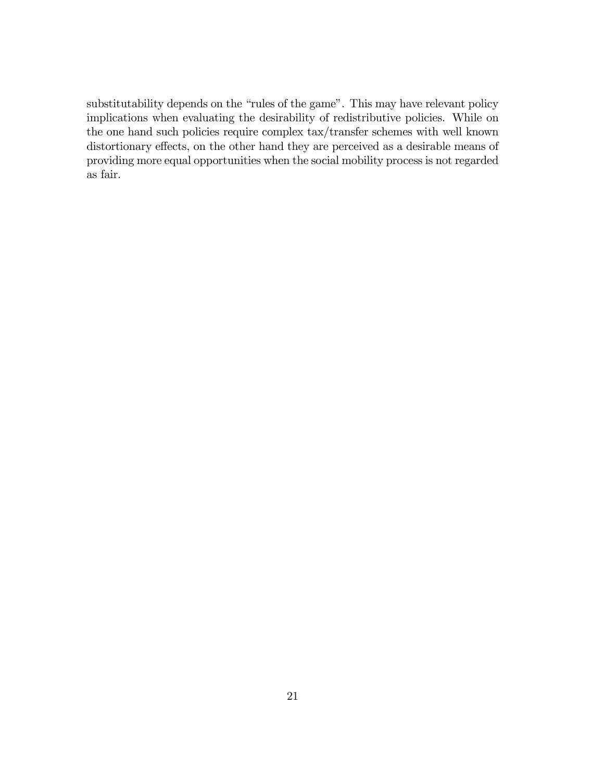substitutability depends on the "rules of the game". This may have relevant policy implications when evaluating the desirability of redistributive policies. While on the one hand such policies require complex tax/transfer schemes with well known distortionary effects, on the other hand they are perceived as a desirable means of providing more equal opportunities when the social mobility process is not regarded as fair.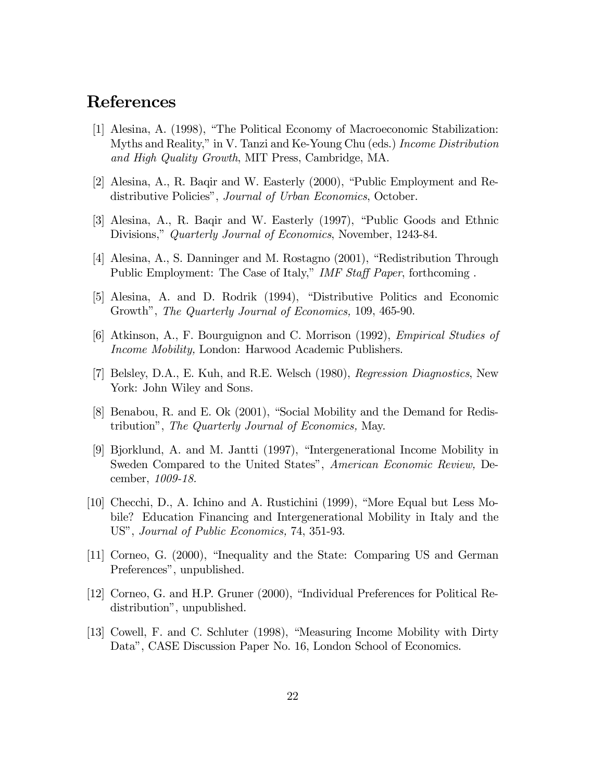## References

- [1] Alesina, A. (1998), "The Political Economy of Macroeconomic Stabilization: Myths and Reality," in V. Tanzi and Ke-Young Chu (eds.) Income Distribution and High Quality Growth, MIT Press, Cambridge, MA.
- [2] Alesina, A., R. Baqir and W. Easterly (2000), "Public Employment and Redistributive Policies", Journal of Urban Economics, October.
- [3] Alesina, A., R. Baqir and W. Easterly (1997), "Public Goods and Ethnic Divisions," Quarterly Journal of Economics, November, 1243-84.
- [4] Alesina, A., S. Danninger and M. Rostagno (2001), "Redistribution Through Public Employment: The Case of Italy," IMF Staff Paper, forthcoming.
- [5] Alesina, A. and D. Rodrik (1994), "Distributive Politics and Economic Growth", The Quarterly Journal of Economics, 109, 465-90.
- [6] Atkinson, A., F. Bourguignon and C. Morrison (1992), Empirical Studies of Income Mobility, London: Harwood Academic Publishers.
- [7] Belsley, D.A., E. Kuh, and R.E. Welsch (1980), Regression Diagnostics, New York: John Wiley and Sons.
- [8] Benabou, R. and E. Ok (2001), "Social Mobility and the Demand for Redistribution", The Quarterly Journal of Economics, May.
- [9] Bjorklund, A. and M. Jantti (1997), "Intergenerational Income Mobility in Sweden Compared to the United States", American Economic Review, December, 1009-18.
- [10] Checchi, D., A. Ichino and A. Rustichini (1999), "More Equal but Less Mobile? Education Financing and Intergenerational Mobility in Italy and the US", Journal of Public Economics, 74, 351-93.
- [11] Corneo, G. (2000), "Inequality and the State: Comparing US and German Preferences", unpublished.
- [12] Corneo, G. and H.P. Gruner (2000), "Individual Preferences for Political Redistribution", unpublished.
- [13] Cowell, F. and C. Schluter (1998), "Measuring Income Mobility with Dirty Data", CASE Discussion Paper No. 16, London School of Economics.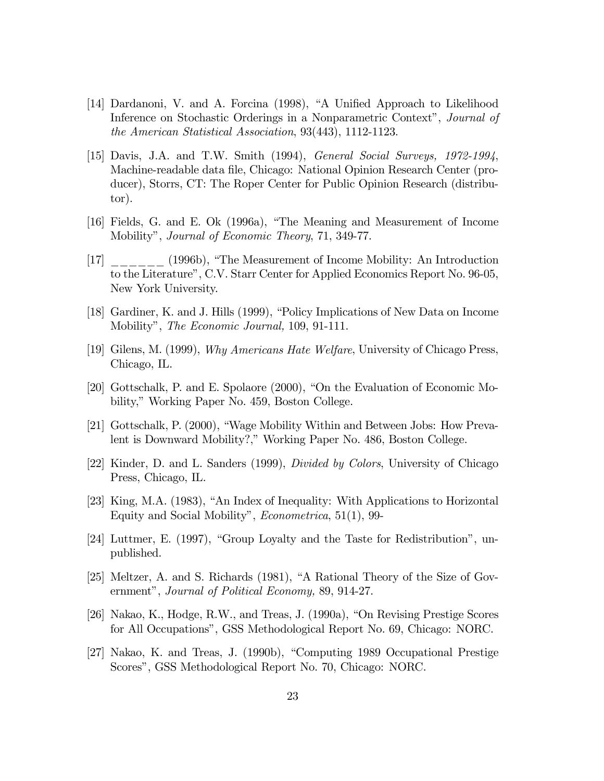- [14] Dardanoni, V. and A. Forcina (1998), "A Unified Approach to Likelihood Inference on Stochastic Orderings in a Nonparametric Context", Journal of the American Statistical Association, 93(443), 1112-1123.
- [15] Davis, J.A. and T.W. Smith (1994), General Social Surveys, 1972-1994, Machine-readable data file, Chicago: National Opinion Research Center (producer), Storrs, CT: The Roper Center for Public Opinion Research (distributor).
- [16] Fields, G. and E. Ok (1996a), "The Meaning and Measurement of Income Mobility", Journal of Economic Theory, 71, 349-77.
- [17] \_\_\_\_\_\_ (1996b), "The Measurement of Income Mobility: An Introduction to the Literature", C.V. Starr Center for Applied Economics Report No. 96-05, New York University.
- [18] Gardiner, K. and J. Hills (1999), "Policy Implications of New Data on Income Mobility", The Economic Journal, 109, 91-111.
- [19] Gilens, M. (1999), Why Americans Hate Welfare, University of Chicago Press, Chicago, IL.
- [20] Gottschalk, P. and E. Spolaore (2000), "On the Evaluation of Economic Mobility," Working Paper No. 459, Boston College.
- [21] Gottschalk, P. (2000), "Wage Mobility Within and Between Jobs: How Prevalent is Downward Mobility?," Working Paper No. 486, Boston College.
- [22] Kinder, D. and L. Sanders (1999), Divided by Colors, University of Chicago Press, Chicago, IL.
- [23] King, M.A. (1983), "An Index of Inequality: With Applications to Horizontal Equity and Social Mobility", Econometrica, 51(1), 99-
- [24] Luttmer, E. (1997), "Group Loyalty and the Taste for Redistribution", unpublished.
- [25] Meltzer, A. and S. Richards (1981), "A Rational Theory of the Size of Government", Journal of Political Economy, 89, 914-27.
- [26] Nakao, K., Hodge, R.W., and Treas, J. (1990a), "On Revising Prestige Scores for All Occupations", GSS Methodological Report No. 69, Chicago: NORC.
- [27] Nakao, K. and Treas, J. (1990b), "Computing 1989 Occupational Prestige Scores", GSS Methodological Report No. 70, Chicago: NORC.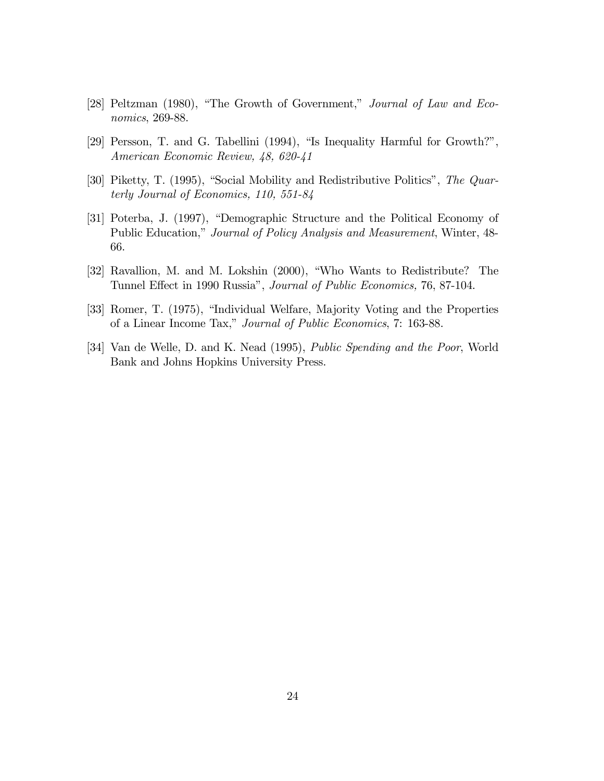- [28] Peltzman (1980), "The Growth of Government," Journal of Law and Economics, 269-88.
- [29] Persson, T. and G. Tabellini (1994), "Is Inequality Harmful for Growth?", American Economic Review, 48, 620-41
- [30] Piketty, T. (1995), "Social Mobility and Redistributive Politics", The Quarterly Journal of Economics, 110, 551-84
- [31] Poterba, J. (1997), "Demographic Structure and the Political Economy of Public Education," Journal of Policy Analysis and Measurement, Winter, 48- 66.
- [32] Ravallion, M. and M. Lokshin (2000), "Who Wants to Redistribute? The Tunnel Effect in 1990 Russia", Journal of Public Economics, 76, 87-104.
- [33] Romer, T. (1975), "Individual Welfare, Majority Voting and the Properties of a Linear Income Tax," Journal of Public Economics, 7: 163-88.
- [34] Van de Welle, D. and K. Nead (1995), Public Spending and the Poor, World Bank and Johns Hopkins University Press.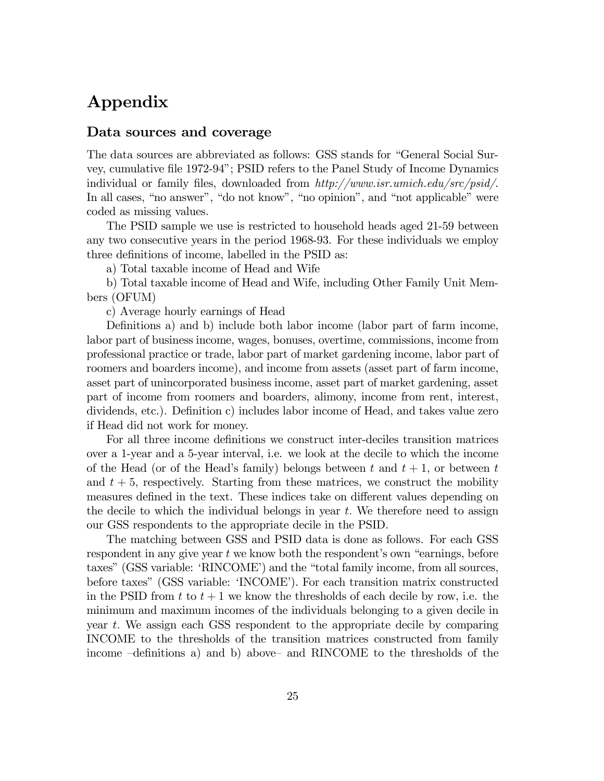## Appendix

#### Data sources and coverage

The data sources are abbreviated as follows: GSS stands for "General Social Survey, cumulative file 1972-94"; PSID refers to the Panel Study of Income Dynamics individual or family files, downloaded from  $http://www.isr.unich.edu/src/psid/$ . In all cases, "no answer", "do not know", "no opinion", and "not applicable" were coded as missing values.

The PSID sample we use is restricted to household heads aged 21-59 between any two consecutive years in the period 1968-93. For these individuals we employ three definitions of income, labelled in the PSID as:

a) Total taxable income of Head and Wife

b) Total taxable income of Head and Wife, including Other Family Unit Members (OFUM)

c) Average hourly earnings of Head

Definitions a) and b) include both labor income (labor part of farm income, labor part of business income, wages, bonuses, overtime, commissions, income from professional practice or trade, labor part of market gardening income, labor part of roomers and boarders income), and income from assets (asset part of farm income, asset part of unincorporated business income, asset part of market gardening, asset part of income from roomers and boarders, alimony, income from rent, interest,  $dividends, etc.).$  Definition c) includes labor income of Head, and takes value zero if Head did not work for money.

For all three income definitions we construct inter-deciles transition matrices over a 1-year and a 5-year interval, i.e. we look at the decile to which the income of the Head (or of the Head's family) belongs between t and  $t + 1$ , or between t and  $t + 5$ , respectively. Starting from these matrices, we construct the mobility measures defined in the text. These indices take on different values depending on the decile to which the individual belongs in year  $t$ . We therefore need to assign our GSS respondents to the appropriate decile in the PSID.

The matching between GSS and PSID data is done as follows. For each GSS respondent in any give year  $t$  we know both the respondent's own "earnings, before taxes" (GSS variable: 'RINCOME') and the "total family income, from all sources, before taxes" (GSS variable: 'INCOME'). For each transition matrix constructed in the PSID from  $t$  to  $t + 1$  we know the thresholds of each decile by row, i.e. the minimum and maximum incomes of the individuals belonging to a given decile in year t: We assign each GSS respondent to the appropriate decile by comparing INCOME to the thresholds of the transition matrices constructed from family income  $-$ definitions a) and b) above– and RINCOME to the thresholds of the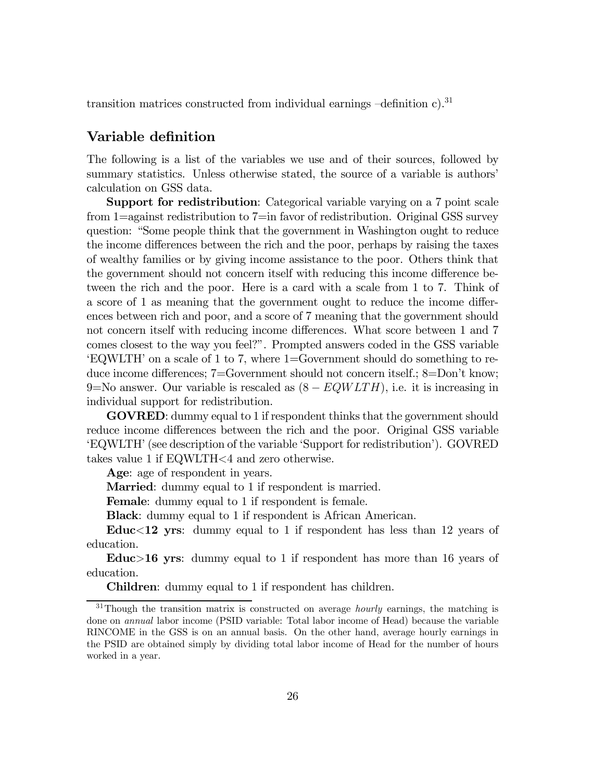transition matrices constructed from individual earnings  $-\text{definition c}$ <sup>31</sup>

## Variable definition

The following is a list of the variables we use and of their sources, followed by summary statistics. Unless otherwise stated, the source of a variable is authors' calculation on GSS data.

Support for redistribution: Categorical variable varying on a 7 point scale from 1=against redistribution to 7=in favor of redistribution. Original GSS survey question: "Some people think that the government in Washington ought to reduce the income differences between the rich and the poor, perhaps by raising the taxes of wealthy families or by giving income assistance to the poor. Others think that the government should not concern itself with reducing this income difference between the rich and the poor. Here is a card with a scale from 1 to 7. Think of a score of 1 as meaning that the government ought to reduce the income differences between rich and poor, and a score of 7 meaning that the government should not concern itself with reducing income differences. What score between 1 and 7 comes closest to the way you feel?". Prompted answers coded in the GSS variable 'EQWLTH' on a scale of 1 to 7, where 1=Government should do something to reduce income differences;  $7 = G$ overnment should not concern itself.;  $8 = Don't$  know; 9=No answer. Our variable is rescaled as  $(8 - EQWLTH)$ , i.e. it is increasing in individual support for redistribution.

GOVRED: dummy equal to 1 if respondent thinks that the government should reduce income differences between the rich and the poor. Original GSS variable 'EQWLTH' (see description of the variable 'Support for redistribution'). GOVRED takes value 1 if EQWLTH<4 and zero otherwise.

Age: age of respondent in years.

Married: dummy equal to 1 if respondent is married.

Female: dummy equal to 1 if respondent is female.

Black: dummy equal to 1 if respondent is African American.

Educ<12 yrs: dummy equal to 1 if respondent has less than 12 years of education.

Educ>16 yrs: dummy equal to 1 if respondent has more than 16 years of education.

Children: dummy equal to 1 if respondent has children.

 $31$ Though the transition matrix is constructed on average *hourly* earnings, the matching is done on annual labor income (PSID variable: Total labor income of Head) because the variable RINCOME in the GSS is on an annual basis. On the other hand, average hourly earnings in the PSID are obtained simply by dividing total labor income of Head for the number of hours worked in a year.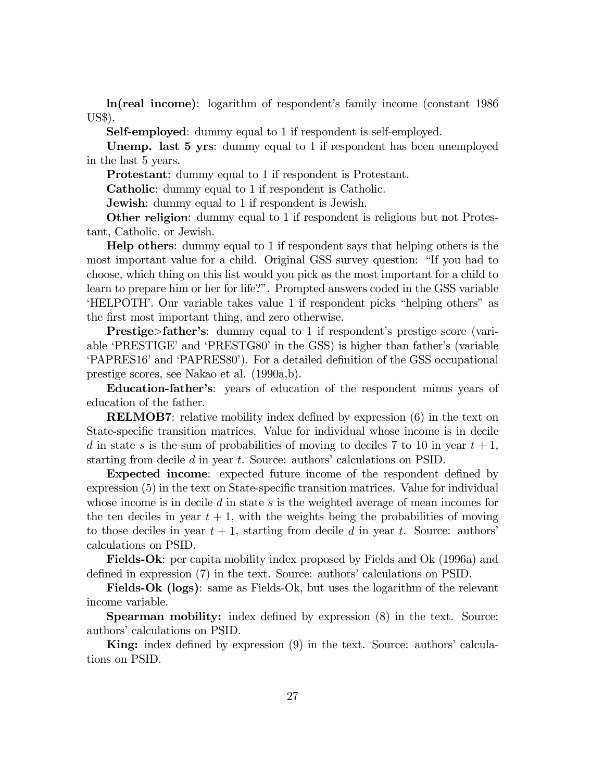ln(real income): logarithm of respondent's family income (constant 1986 US\$).

Self-employed: dummy equal to 1 if respondent is self-employed.

Unemp. last 5 yrs: dummy equal to 1 if respondent has been unemployed in the last 5 years.

Protestant: dummy equal to 1 if respondent is Protestant.

Catholic: dummy equal to 1 if respondent is Catholic.

**Jewish:** dummy equal to 1 if respondent is Jewish.

Other religion: dummy equal to 1 if respondent is religious but not Protestant, Catholic, or Jewish.

Help others: dummy equal to 1 if respondent says that helping others is the most important value for a child. Original GSS survey question: "If you had to choose, which thing on this list would you pick as the most important for a child to learn to prepare him or her for life?". Prompted answers coded in the GSS variable 'HELPOTH'. Our variable takes value 1 if respondent picks "helping others" as the first most important thing, and zero otherwise.

Prestige>father's: dummy equal to 1 if respondent's prestige score (variable 'PRESTIGE' and 'PRESTG80' in the GSS) is higher than father's (variable 'PAPRES16' and 'PAPRES80'). For a detailed definition of the GSS occupational prestige scores, see Nakao et al. (1990a,b).

Education-father's: years of education of the respondent minus years of education of the father.

**RELMOB7:** relative mobility index defined by expression  $(6)$  in the text on State-specific transition matrices. Value for individual whose income is in decile d in state s is the sum of probabilities of moving to deciles 7 to 10 in year  $t + 1$ , starting from decile d in year t. Source: authors' calculations on PSID.

**Expected income:** expected future income of the respondent defined by  $\alpha$  expression (5) in the text on State-specific transition matrices. Value for individual whose income is in decile d in state s is the weighted average of mean incomes for the ten deciles in year  $t + 1$ , with the weights being the probabilities of moving to those deciles in year  $t + 1$ , starting from decile d in year t. Source: authors' calculations on PSID.

Fields-Ok: per capita mobility index proposed by Fields and Ok (1996a) and defined in expression (7) in the text. Source: authors' calculations on PSID.

Fields-Ok (logs): same as Fields-Ok, but uses the logarithm of the relevant income variable.

**Spearman mobility:** index defined by expression  $(8)$  in the text. Source: authors' calculations on PSID.

**King:** index defined by expression  $(9)$  in the text. Source: authors' calculations on PSID.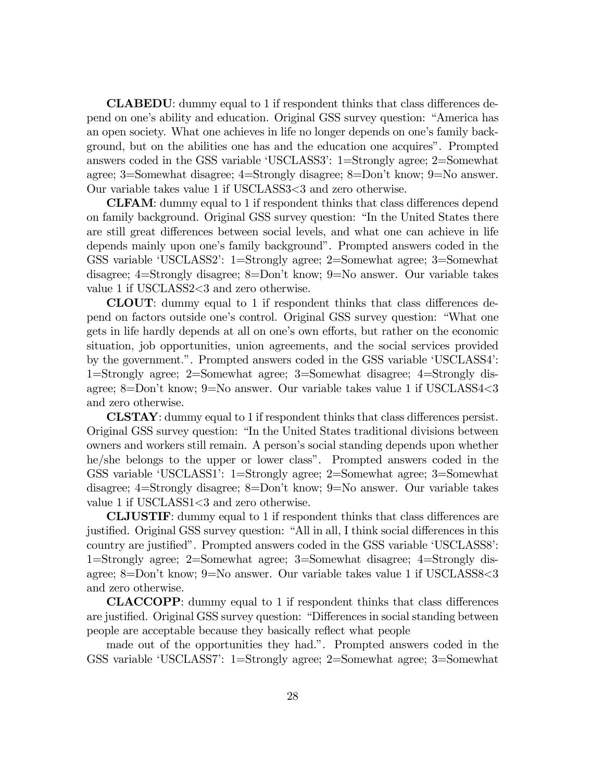**CLABEDU:** dummy equal to 1 if respondent thinks that class differences depend on one's ability and education. Original GSS survey question: "America has an open society. What one achieves in life no longer depends on one's family background, but on the abilities one has and the education one acquires". Prompted answers coded in the GSS variable 'USCLASS3': 1=Strongly agree; 2=Somewhat agree; 3=Somewhat disagree; 4=Strongly disagree; 8=Don't know; 9=No answer. Our variable takes value 1 if USCLASS3<3 and zero otherwise.

**CLFAM:** dummy equal to 1 if respondent thinks that class differences depend on family background. Original GSS survey question: "In the United States there are still great differences between social levels, and what one can achieve in life depends mainly upon one's family background". Prompted answers coded in the GSS variable 'USCLASS2': 1=Strongly agree; 2=Somewhat agree; 3=Somewhat disagree; 4=Strongly disagree; 8=Don't know; 9=No answer. Our variable takes value 1 if USCLASS2<3 and zero otherwise.

CLOUT: dummy equal to 1 if respondent thinks that class differences depend on factors outside one's control. Original GSS survey question: "What one gets in life hardly depends at all on one's own efforts, but rather on the economic situation, job opportunities, union agreements, and the social services provided by the government.". Prompted answers coded in the GSS variable 'USCLASS4': 1=Strongly agree; 2=Somewhat agree; 3=Somewhat disagree; 4=Strongly disagree; 8=Don't know; 9=No answer. Our variable takes value 1 if USCLASS4<3 and zero otherwise.

**CLSTAY**: dummy equal to 1 if respondent thinks that class differences persist. Original GSS survey question: "In the United States traditional divisions between owners and workers still remain. A person's social standing depends upon whether he/she belongs to the upper or lower class". Prompted answers coded in the GSS variable 'USCLASS1': 1=Strongly agree; 2=Somewhat agree; 3=Somewhat disagree; 4=Strongly disagree; 8=Don't know; 9=No answer. Our variable takes value 1 if USCLASS1<3 and zero otherwise.

**CLJUSTIF:** dummy equal to 1 if respondent thinks that class differences are justified. Original GSS survey question: "All in all, I think social differences in this country are justified". Prompted answers coded in the GSS variable 'USCLASS8': 1=Strongly agree; 2=Somewhat agree; 3=Somewhat disagree; 4=Strongly disagree; 8=Don't know; 9=No answer. Our variable takes value 1 if USCLASS8<3 and zero otherwise.

**CLACCOPP**: dummy equal to 1 if respondent thinks that class differences are justified. Original GSS survey question: "Differences in social standing between people are acceptable because they basically re‡ect what people

made out of the opportunities they had.". Prompted answers coded in the GSS variable 'USCLASS7': 1=Strongly agree; 2=Somewhat agree; 3=Somewhat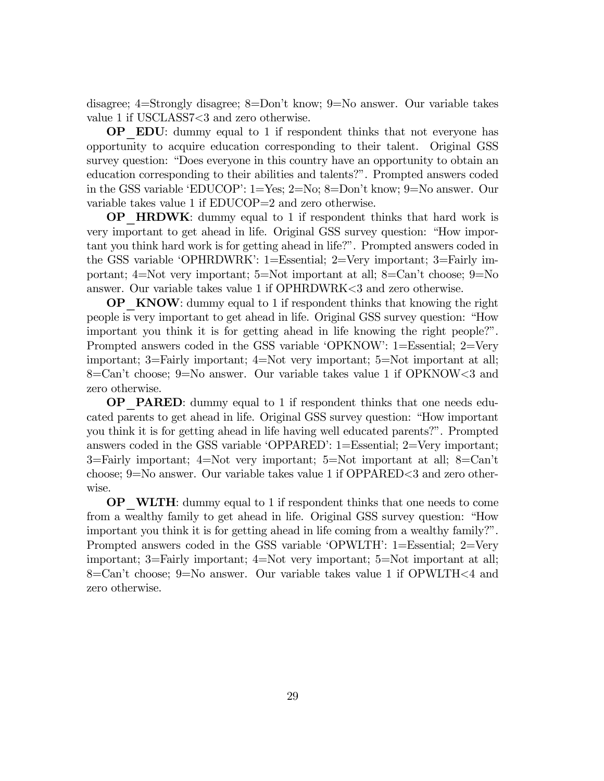disagree; 4=Strongly disagree; 8=Don't know; 9=No answer. Our variable takes value 1 if USCLASS7<3 and zero otherwise.

OP\_EDU: dummy equal to 1 if respondent thinks that not everyone has opportunity to acquire education corresponding to their talent. Original GSS survey question: "Does everyone in this country have an opportunity to obtain an education corresponding to their abilities and talents?". Prompted answers coded in the GSS variable 'EDUCOP': 1=Yes; 2=No; 8=Don't know; 9=No answer. Our variable takes value 1 if EDUCOP=2 and zero otherwise.

OP\_HRDWK: dummy equal to 1 if respondent thinks that hard work is very important to get ahead in life. Original GSS survey question: "How important you think hard work is for getting ahead in life?". Prompted answers coded in the GSS variable 'OPHRDWRK': 1=Essential; 2=Very important; 3=Fairly important; 4=Not very important; 5=Not important at all; 8=Can't choose; 9=No answer. Our variable takes value 1 if OPHRDWRK<3 and zero otherwise.

**OP** KNOW: dummy equal to 1 if respondent thinks that knowing the right people is very important to get ahead in life. Original GSS survey question: "How important you think it is for getting ahead in life knowing the right people?". Prompted answers coded in the GSS variable 'OPKNOW': 1=Essential; 2=Very important; 3=Fairly important; 4=Not very important; 5=Not important at all; 8=Can't choose; 9=No answer. Our variable takes value 1 if OPKNOW<3 and zero otherwise.

**OP** PARED: dummy equal to 1 if respondent thinks that one needs educated parents to get ahead in life. Original GSS survey question: "How important you think it is for getting ahead in life having well educated parents?". Prompted answers coded in the GSS variable 'OPPARED': 1=Essential; 2=Very important; 3=Fairly important; 4=Not very important; 5=Not important at all; 8=Can't choose; 9=No answer. Our variable takes value 1 if OPPARED<3 and zero otherwise.

**OP** WLTH: dummy equal to 1 if respondent thinks that one needs to come from a wealthy family to get ahead in life. Original GSS survey question: "How important you think it is for getting ahead in life coming from a wealthy family?". Prompted answers coded in the GSS variable 'OPWLTH': 1=Essential; 2=Very important; 3=Fairly important; 4=Not very important; 5=Not important at all; 8=Can't choose; 9=No answer. Our variable takes value 1 if OPWLTH<4 and zero otherwise.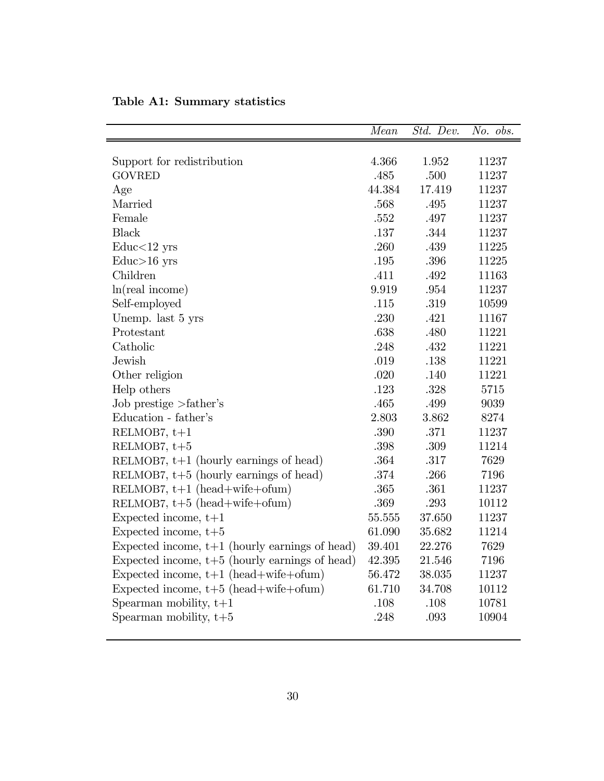|                                                  | Mean     | Std. Dev. | No. obs. |
|--------------------------------------------------|----------|-----------|----------|
|                                                  |          |           |          |
| Support for redistribution                       | 4.366    | 1.952     | 11237    |
| <b>GOVRED</b>                                    | .485     | .500      | 11237    |
| Age                                              | 44.384   | 17.419    | 11237    |
| Married                                          | .568     | .495      | 11237    |
| Female                                           | .552     | .497      | 11237    |
| <b>Black</b>                                     | .137     | .344      | 11237    |
| $\text{Educ}{<}12\;\text{yrs}$                   | .260     | .439      | 11225    |
| $Educ>16$ yrs                                    | .195     | .396      | 11225    |
| Children                                         | .411     | .492      | 11163    |
| ln(real income)                                  | 9.919    | .954      | 11237    |
| Self-employed                                    | .115     | .319      | 10599    |
| Unemp. last 5 yrs                                | .230     | .421      | 11167    |
| Protestant                                       | .638     | .480      | 11221    |
| Catholic                                         | .248     | .432      | 11221    |
| Jewish                                           | .019     | .138      | 11221    |
| Other religion                                   | .020     | .140      | 11221    |
| Help others                                      | .123     | .328      | 5715     |
| Job prestige $>\text{father's}$                  | .465     | .499      | 9039     |
| Education - father's                             | 2.803    | 3.862     | 8274     |
| RELMOB7, $t+1$                                   | .390     | .371      | 11237    |
| RELMOB7, $t+5$                                   | .398     | .309      | 11214    |
| RELMOB7, $t+1$ (hourly earnings of head)         | .364     | .317      | 7629     |
| RELMOB7, $t+5$ (hourly earnings of head)         | .374     | .266      | 7196     |
| RELMOB7, $t+1$ (head+wife+ofum)                  | $.365\,$ | .361      | 11237    |
| RELMOB7, $t+5$ (head+wife+ofum)                  | .369     | .293      | 10112    |
| Expected income, $t+1$                           | 55.555   | 37.650    | 11237    |
| Expected income, $t+5$                           | 61.090   | 35.682    | 11214    |
| Expected income, $t+1$ (hourly earnings of head) | 39.401   | 22.276    | 7629     |
| Expected income, $t+5$ (hourly earnings of head) | 42.395   | 21.546    | 7196     |
| Expected income, $t+1$ (head+wife+ofum)          | 56.472   | 38.035    | 11237    |
| Expected income, $t+5$ (head+wife+ofum)          | 61.710   | 34.708    | 10112    |
| Spearman mobility, $t+1$                         | .108     | .108      | 10781    |
| Spearman mobility, $t+5$                         | .248     | .093      | 10904    |
|                                                  |          |           |          |

Table A1: Summary statistics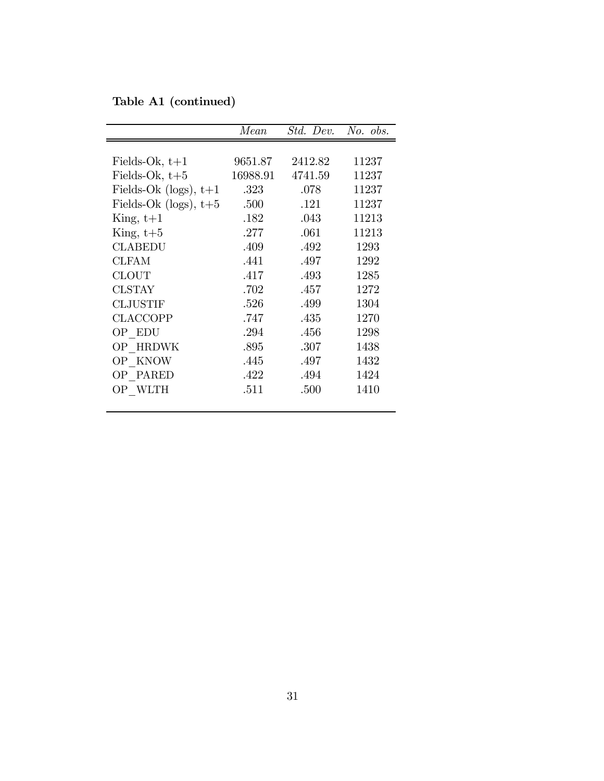Table A1 (continued)

|                         | Mean     | Std. Dev. | $No.$ obs. |
|-------------------------|----------|-----------|------------|
|                         |          |           |            |
| Fields-Ok, $t+1$        | 9651.87  | 2412.82   | 11237      |
| Fields-Ok, $t+5$        | 16988.91 | 4741.59   | 11237      |
| Fields-Ok (logs), $t+1$ | .323     | .078      | 11237      |
| Fields-Ok (logs), $t+5$ | .500     | .121      | 11237      |
| $King, t+1$             | .182     | .043      | 11213      |
| King, $t+5$             | .277     | .061      | 11213      |
| <b>CLABEDU</b>          | .409     | .492      | 1293       |
| <b>CLFAM</b>            | .441     | .497      | 1292       |
| <b>CLOUT</b>            | .417     | .493      | 1285       |
| <b>CLSTAY</b>           | .702     | .457      | 1272       |
| <b>CLJUSTIF</b>         | .526     | .499      | 1304       |
| <b>CLACCOPP</b>         | .747     | .435      | 1270       |
| OP EDU                  | .294     | .456      | 1298       |
| OP HRDWK                | .895     | .307      | 1438       |
| OP KNOW                 | .445     | .497      | 1432       |
| OP PARED                | .422     | .494      | 1424       |
| OP WLTH                 | .511     | .500      | 1410       |
|                         |          |           |            |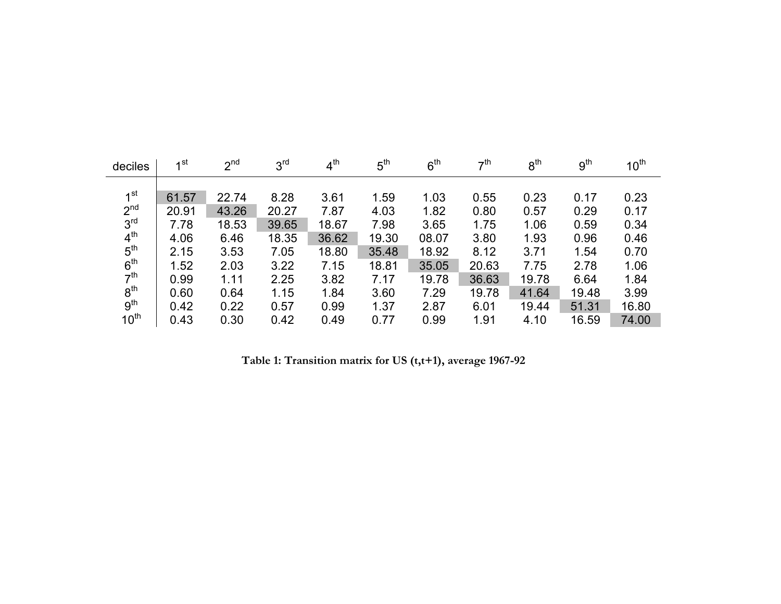| deciles          | 1st   | 2 <sup>nd</sup> | 3 <sup>rd</sup> | 4 <sup>th</sup> | $5^{\text{th}}$ | 6 <sup>th</sup> | 7 <sup>th</sup> | 8 <sup>th</sup> | 9 <sup>th</sup> | 10 <sup>th</sup> |
|------------------|-------|-----------------|-----------------|-----------------|-----------------|-----------------|-----------------|-----------------|-----------------|------------------|
|                  |       |                 |                 |                 |                 |                 |                 |                 |                 |                  |
| 1 <sup>st</sup>  | 61.57 | 22.74           | 8.28            | 3.61            | 1.59            | 1.03            | 0.55            | 0.23            | 0.17            | 0.23             |
| 2 <sup>nd</sup>  | 20.91 | 43.26           | 20.27           | 7.87            | 4.03            | 1.82            | 0.80            | 0.57            | 0.29            | 0.17             |
| 3 <sup>rd</sup>  | 7.78  | 18.53           | 39.65           | 18.67           | 7.98            | 3.65            | 1.75            | 1.06            | 0.59            | 0.34             |
| 4 <sup>th</sup>  | 4.06  | 6.46            | 18.35           | 36.62           | 19.30           | 08.07           | 3.80            | 1.93            | 0.96            | 0.46             |
| $5^{\text{th}}$  | 2.15  | 3.53            | 7.05            | 18.80           | 35.48           | 18.92           | 8.12            | 3.71            | 1.54            | 0.70             |
| 6 <sup>th</sup>  | 1.52  | 2.03            | 3.22            | 7.15            | 18.81           | 35.05           | 20.63           | 7.75            | 2.78            | 1.06             |
| 7 <sup>th</sup>  | 0.99  | 1.11            | 2.25            | 3.82            | 7.17            | 19.78           | 36.63           | 19.78           | 6.64            | 1.84             |
| 8 <sup>th</sup>  | 0.60  | 0.64            | 1.15            | 1.84            | 3.60            | 7.29            | 19.78           | 41.64           | 19.48           | 3.99             |
| 9 <sup>th</sup>  | 0.42  | 0.22            | 0.57            | 0.99            | 1.37            | 2.87            | 6.01            | 19.44           | 51.31           | 16.80            |
| 10 <sup>th</sup> | 0.43  | 0.30            | 0.42            | 0.49            | 0.77            | 0.99            | 1.91            | 4.10            | 16.59           | 74.00            |

**Table 1: Transition matrix for US (t,t+1), average 1967-92**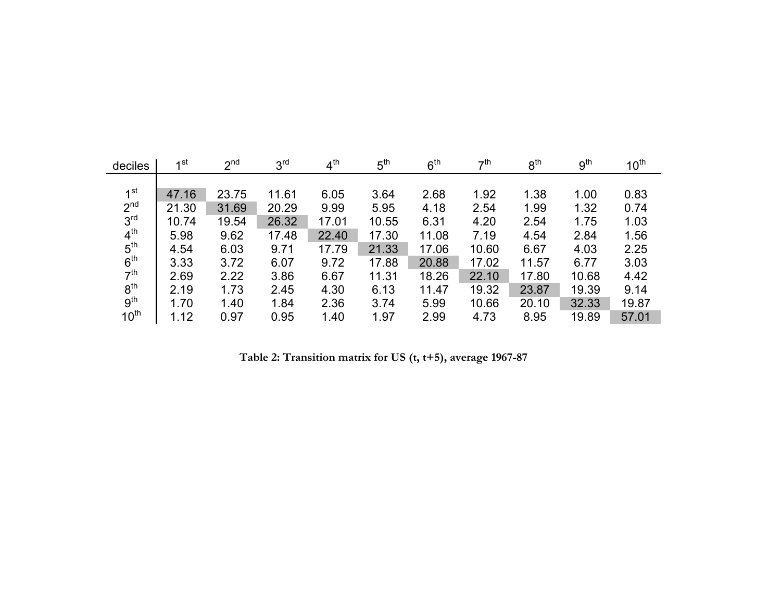| deciles          | 1st   | 2 <sup>nd</sup> | 3 <sup>rd</sup> | 4 <sup>th</sup> | 5 <sup>th</sup> | 6 <sup>th</sup> | $\tau$ <sup>th</sup> | 8 <sup>th</sup> | 9 <sup>th</sup> | 10 <sup>th</sup> |
|------------------|-------|-----------------|-----------------|-----------------|-----------------|-----------------|----------------------|-----------------|-----------------|------------------|
|                  |       |                 |                 |                 |                 |                 |                      |                 |                 |                  |
| 1 <sup>st</sup>  | 47.16 | 23.75           | 11.61           | 6.05            | 3.64            | 2.68            | 1.92                 | 1.38            | 1.00            | 0.83             |
| 2 <sup>nd</sup>  | 21.30 | 31.69           | 20.29           | 9.99            | 5.95            | 4.18            | 2.54                 | 1.99            | 1.32            | 0.74             |
| 3 <sup>rd</sup>  | 10.74 | 19.54           | 26.32           | 17.01           | 10.55           | 6.31            | 4.20                 | 2.54            | 1.75            | 1.03             |
| 4 <sup>th</sup>  | 5.98  | 9.62            | 17.48           | 22.40           | 17.30           | 11.08           | 7.19                 | 4.54            | 2.84            | 1.56             |
| 5 <sup>th</sup>  | 4.54  | 6.03            | 9.71            | 17.79           | 21.33           | 17.06           | 10.60                | 6.67            | 4.03            | 2.25             |
| 6 <sup>th</sup>  | 3.33  | 3.72            | 6.07            | 9.72            | 17.88           | 20.88           | 17.02                | 11.57           | 6.77            | 3.03             |
| 7 <sup>th</sup>  | 2.69  | 2.22            | 3.86            | 6.67            | 11.31           | 18.26           | 22.10                | 17.80           | 10.68           | 4.42             |
| 8 <sup>th</sup>  | 2.19  | 1.73            | 2.45            | 4.30            | 6.13            | 11.47           | 19.32                | 23.87           | 19.39           | 9.14             |
| 9 <sup>th</sup>  | 1.70  | 1.40            | 1.84            | 2.36            | 3.74            | 5.99            | 10.66                | 20.10           | 32.33           | 19.87            |
| 10 <sup>th</sup> | 1.12  | 0.97            | 0.95            | 1.40            | 1.97            | 2.99            | 4.73                 | 8.95            | 19.89           | 57.01            |

**Table 2: Transition matrix for US (t, t+5), average 1967-87**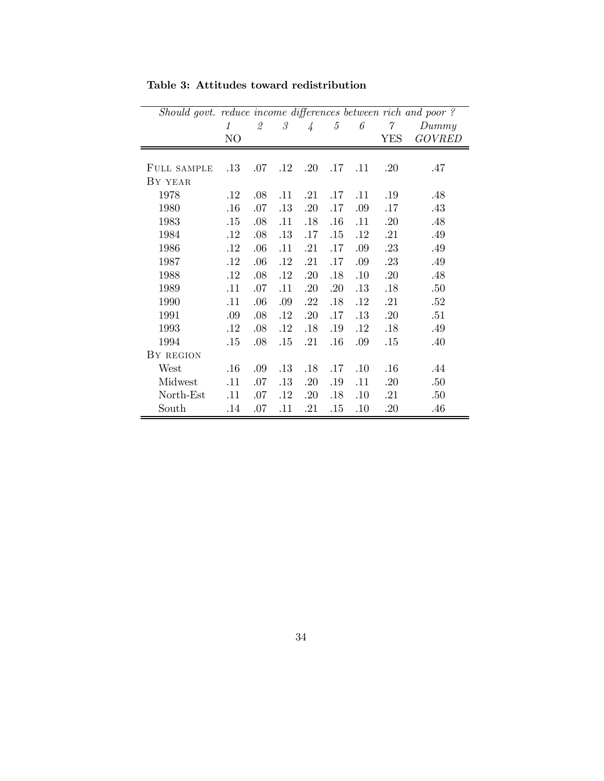| Should govt. reduce income differences between rich and poor? |               |                          |              |               |     |     |          |               |
|---------------------------------------------------------------|---------------|--------------------------|--------------|---------------|-----|-----|----------|---------------|
|                                                               | $\mathcal{I}$ | $\mathfrak{\mathcal{Q}}$ | $\mathcal S$ | $\frac{1}{4}$ | 5   | 6   | $\gamma$ | Dummy         |
|                                                               | NO            |                          |              |               |     |     | YES      | <b>GOVRED</b> |
| FULL SAMPLE                                                   | $.13\,$       | .07                      | $.12\,$      | .20           | .17 | .11 | .20      | .47           |
| BY YEAR                                                       |               |                          |              |               |     |     |          |               |
| 1978                                                          | $.12\,$       | .08                      | .11          | .21           | .17 | .11 | .19      | .48           |
| 1980                                                          | .16           | .07                      | .13          | .20           | .17 | .09 | .17      | .43           |
| 1983                                                          | .15           | .08                      | .11          | .18           | .16 | .11 | .20      | .48           |
| 1984                                                          | .12           | .08                      | .13          | .17           | .15 | .12 | .21      | .49           |
| 1986                                                          | .12           | .06                      | .11          | .21           | .17 | .09 | .23      | .49           |
| 1987                                                          | .12           | .06                      | .12          | .21           | .17 | .09 | .23      | .49           |
| 1988                                                          | .12           | .08                      | .12          | .20           | .18 | .10 | .20      | .48           |
| 1989                                                          | .11           | .07                      | .11          | .20           | .20 | .13 | .18      | .50           |
| 1990                                                          | .11           | .06                      | .09          | .22           | .18 | .12 | .21      | .52           |
| 1991                                                          | .09           | .08                      | .12          | .20           | .17 | .13 | .20      | .51           |
| 1993                                                          | $.12\,$       | .08                      | .12          | .18           | .19 | .12 | .18      | .49           |
| 1994                                                          | .15           | .08                      | .15          | .21           | .16 | .09 | .15      | .40           |
| BY REGION                                                     |               |                          |              |               |     |     |          |               |
| West                                                          | .16           | .09                      | .13          | .18           | .17 | .10 | .16      | .44           |
| Midwest                                                       | .11           | .07                      | .13          | .20           | .19 | .11 | .20      | .50           |
| North-Est                                                     | .11           | .07                      | $.12\,$      | .20           | .18 | .10 | .21      | .50           |
| South                                                         | .14           | .07                      | .11          | .21           | .15 | .10 | .20      | .46           |

Table 3: Attitudes toward redistribution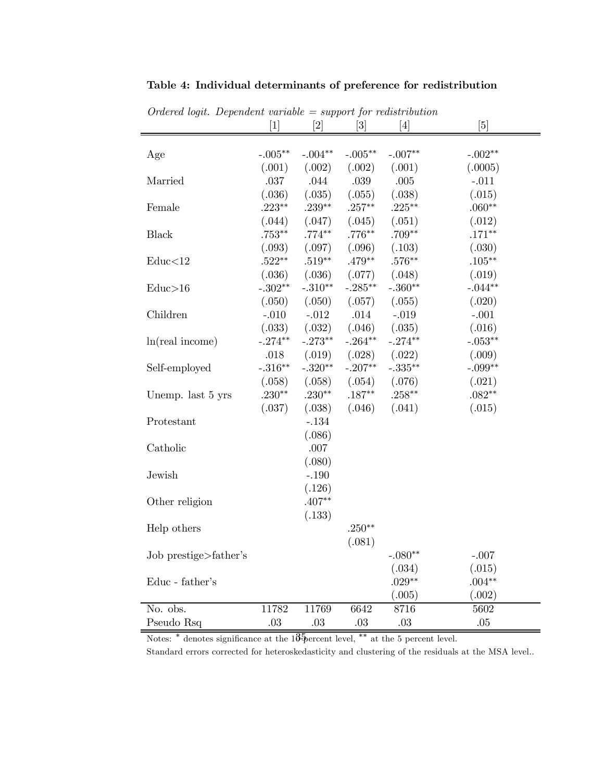| $Ordered$ logit. Dependent variable = support for redistribution |           |           |            |                                                                                                                                                                                                                                                                                                                                                                                                                                                                                                                                                                                                                                                                            |           |
|------------------------------------------------------------------|-----------|-----------|------------|----------------------------------------------------------------------------------------------------------------------------------------------------------------------------------------------------------------------------------------------------------------------------------------------------------------------------------------------------------------------------------------------------------------------------------------------------------------------------------------------------------------------------------------------------------------------------------------------------------------------------------------------------------------------------|-----------|
|                                                                  | $[1]$     | $[2]$     | $[3]$      | $[4] % \includegraphics[width=0.9\columnwidth]{figures/fig_4} \caption{A graph shows a function of the parameter M and the parameter M in the interval M and the parameter M is the number of parameters. The number of parameters are shown in Fig. \ref{fig:10}. The number of parameters are shown in Fig. \ref{fig:10}. The number of parameters are shown in Fig. \ref{fig:11}. The number of parameters are shown in Fig. \ref{fig:11}. The number of parameters are shown in Fig. \ref{fig:11}. The number of parameters are shown in Fig. \ref{fig:12}. The number of parameters are shown in Fig. \ref{fig:13}. The number of parameters are shown in Fig. \ref{$ | [5]       |
|                                                                  |           |           |            |                                                                                                                                                                                                                                                                                                                                                                                                                                                                                                                                                                                                                                                                            |           |
| Age                                                              | $-.005**$ | $-.004**$ | $-.005***$ | $-.007**$                                                                                                                                                                                                                                                                                                                                                                                                                                                                                                                                                                                                                                                                  | $-.002**$ |
|                                                                  | (.001)    | (.002)    | (.002)     | (.001)                                                                                                                                                                                                                                                                                                                                                                                                                                                                                                                                                                                                                                                                     | (.0005)   |
| Married                                                          | .037      | .044      | .039       | .005                                                                                                                                                                                                                                                                                                                                                                                                                                                                                                                                                                                                                                                                       | $-.011$   |
|                                                                  | (.036)    | (.035)    | (.055)     | (.038)                                                                                                                                                                                                                                                                                                                                                                                                                                                                                                                                                                                                                                                                     | (.015)    |
| Female                                                           | $.223**$  | $.239**$  | $.257***$  | $.225***$                                                                                                                                                                                                                                                                                                                                                                                                                                                                                                                                                                                                                                                                  | $.060**$  |
|                                                                  | (.044)    | (.047)    | (.045)     | (.051)                                                                                                                                                                                                                                                                                                                                                                                                                                                                                                                                                                                                                                                                     | (.012)    |
| <b>Black</b>                                                     | $.753***$ | $.774**$  | $.776**$   | $.709**$                                                                                                                                                                                                                                                                                                                                                                                                                                                                                                                                                                                                                                                                   | $.171**$  |
|                                                                  | (.093)    | (.097)    | (.096)     | (.103)                                                                                                                                                                                                                                                                                                                                                                                                                                                                                                                                                                                                                                                                     | (.030)    |
| Educ<12                                                          | $.522**$  | $.519**$  | $.479**$   | $.576**$                                                                                                                                                                                                                                                                                                                                                                                                                                                                                                                                                                                                                                                                   | $.105***$ |
|                                                                  | (.036)    | (.036)    | (.077)     | (.048)                                                                                                                                                                                                                                                                                                                                                                                                                                                                                                                                                                                                                                                                     | (.019)    |
| Educ>16                                                          | $-.302**$ | $-.310**$ | $-.285**$  | $-.360**$                                                                                                                                                                                                                                                                                                                                                                                                                                                                                                                                                                                                                                                                  | $-.044**$ |
|                                                                  | (.050)    | (.050)    | (.057)     | (.055)                                                                                                                                                                                                                                                                                                                                                                                                                                                                                                                                                                                                                                                                     | (.020)    |
| Children                                                         | $-.010$   | $-.012$   | .014       | $-.019$                                                                                                                                                                                                                                                                                                                                                                                                                                                                                                                                                                                                                                                                    | $-.001$   |
|                                                                  | (.033)    | (.032)    | (.046)     | (.035)                                                                                                                                                                                                                                                                                                                                                                                                                                                                                                                                                                                                                                                                     | (.016)    |
| ln(real income)                                                  | $-.274**$ | $-.273**$ | $-.264**$  | $-.274**$                                                                                                                                                                                                                                                                                                                                                                                                                                                                                                                                                                                                                                                                  | $-.053**$ |
|                                                                  | .018      | (.019)    | (.028)     | (.022)                                                                                                                                                                                                                                                                                                                                                                                                                                                                                                                                                                                                                                                                     | (.009)    |
| Self-employed                                                    | $-.316**$ | $-.320**$ | $-.207**$  | $-.335***$                                                                                                                                                                                                                                                                                                                                                                                                                                                                                                                                                                                                                                                                 | $-.099**$ |
|                                                                  | (.058)    | (.058)    | (.054)     | (.076)                                                                                                                                                                                                                                                                                                                                                                                                                                                                                                                                                                                                                                                                     | (.021)    |
| Unemp. last 5 yrs                                                | $.230**$  | $.230**$  | $.187**$   | $.258***$                                                                                                                                                                                                                                                                                                                                                                                                                                                                                                                                                                                                                                                                  | $.082**$  |
|                                                                  | (.037)    | (.038)    | (.046)     | (.041)                                                                                                                                                                                                                                                                                                                                                                                                                                                                                                                                                                                                                                                                     | (.015)    |
| Protestant                                                       |           | $-.134$   |            |                                                                                                                                                                                                                                                                                                                                                                                                                                                                                                                                                                                                                                                                            |           |
|                                                                  |           | (.086)    |            |                                                                                                                                                                                                                                                                                                                                                                                                                                                                                                                                                                                                                                                                            |           |
| Catholic                                                         |           | .007      |            |                                                                                                                                                                                                                                                                                                                                                                                                                                                                                                                                                                                                                                                                            |           |
|                                                                  |           | (.080)    |            |                                                                                                                                                                                                                                                                                                                                                                                                                                                                                                                                                                                                                                                                            |           |
| Jewish                                                           |           | $-.190$   |            |                                                                                                                                                                                                                                                                                                                                                                                                                                                                                                                                                                                                                                                                            |           |
|                                                                  |           | (.126)    |            |                                                                                                                                                                                                                                                                                                                                                                                                                                                                                                                                                                                                                                                                            |           |
|                                                                  |           | $.407**$  |            |                                                                                                                                                                                                                                                                                                                                                                                                                                                                                                                                                                                                                                                                            |           |
| Other religion                                                   |           |           |            |                                                                                                                                                                                                                                                                                                                                                                                                                                                                                                                                                                                                                                                                            |           |
|                                                                  |           | (.133)    |            |                                                                                                                                                                                                                                                                                                                                                                                                                                                                                                                                                                                                                                                                            |           |
| Help others                                                      |           |           | $.250**$   |                                                                                                                                                                                                                                                                                                                                                                                                                                                                                                                                                                                                                                                                            |           |
|                                                                  |           |           | (.081)     |                                                                                                                                                                                                                                                                                                                                                                                                                                                                                                                                                                                                                                                                            |           |
| Job prestige>father's                                            |           |           |            | $-.080**$                                                                                                                                                                                                                                                                                                                                                                                                                                                                                                                                                                                                                                                                  | $-.007$   |
|                                                                  |           |           |            | (.034)                                                                                                                                                                                                                                                                                                                                                                                                                                                                                                                                                                                                                                                                     | (.015)    |
| Educ - father's                                                  |           |           |            | $.029**$                                                                                                                                                                                                                                                                                                                                                                                                                                                                                                                                                                                                                                                                   | $.004**$  |
|                                                                  |           |           |            | (.005)                                                                                                                                                                                                                                                                                                                                                                                                                                                                                                                                                                                                                                                                     | (.002)    |
| No. obs.                                                         | 11782     | 11769     | 6642       | 8716                                                                                                                                                                                                                                                                                                                                                                                                                                                                                                                                                                                                                                                                       | 5602      |
| Pseudo Rsq                                                       | .03       | .03       | .03        | .03                                                                                                                                                                                                                                                                                                                                                                                                                                                                                                                                                                                                                                                                        | $.05\,$   |

Table 4: Individual determinants of preference for redistribution

Notes:  $*$  denotes significance at the 10<sup>5</sup> percent level,  $**$  at the 5 percent level.

Standard errors corrected for heteroskedasticity and clustering of the residuals at the MSA level..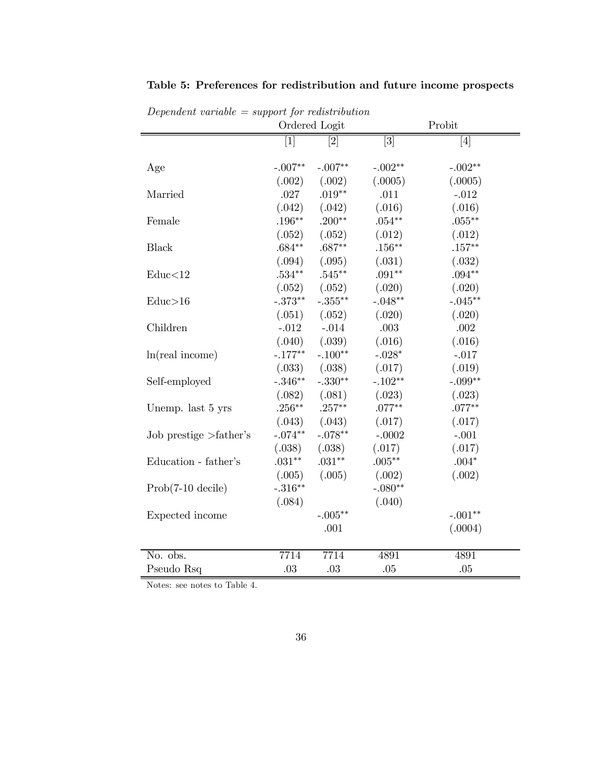| $D$ epertuctive van value -     | $\sim$ 5 appoint for the reason to action | Ordered Logit | Probit      |                                                                                                                                                                                                                                                                                                                                                                                                         |
|---------------------------------|-------------------------------------------|---------------|-------------|---------------------------------------------------------------------------------------------------------------------------------------------------------------------------------------------------------------------------------------------------------------------------------------------------------------------------------------------------------------------------------------------------------|
|                                 | $\vert 1 \vert$                           | [2]           | $\boxed{3}$ | $[4] % \includegraphics[width=0.9\columnwidth]{figures/fig_4} \caption{A graph shows a function of the parameter \{1,2,3\} \times \{1,2,4\} \times \{1,2,3\} \times \{1,2,3\} \times \{1,2,3\} \times \{1,2,3\} \times \{1,2,3\} \times \{1,2,3\} \times \{1,2,3\} \times \{1,2,3\} \times \{1,2,3\} \times \{1,2,3\} \times \{1,2,3\} \times \{1,2,3\} \times \{1,2,3\} \times \{1,2,3\} \times \{1,2$ |
| Age                             | $-.007**$                                 | $-.007**$     | $-.002**$   | $-.002**$                                                                                                                                                                                                                                                                                                                                                                                               |
|                                 | (.002)                                    | (.002)        | (.0005)     | (.0005)                                                                                                                                                                                                                                                                                                                                                                                                 |
| Married                         | .027                                      | $.019**$      | .011        | $-.012$                                                                                                                                                                                                                                                                                                                                                                                                 |
|                                 | (.042)                                    | (.042)        | (.016)      | (.016)                                                                                                                                                                                                                                                                                                                                                                                                  |
| Female                          | $.196***$                                 | $.200**$      | $.054***$   | $.055***$                                                                                                                                                                                                                                                                                                                                                                                               |
|                                 | (.052)                                    | (.052)        | (.012)      | (.012)                                                                                                                                                                                                                                                                                                                                                                                                  |
| <b>Black</b>                    | $.684**$                                  | $.687**$      | $.156***$   | $.157***$                                                                                                                                                                                                                                                                                                                                                                                               |
|                                 | (.094)                                    | (.095)        | (.031)      | (.032)                                                                                                                                                                                                                                                                                                                                                                                                  |
| Educ<12                         | $.534**$                                  | $.545**$      | $.091**$    | $.094**$                                                                                                                                                                                                                                                                                                                                                                                                |
|                                 | (.052)                                    | (.052)        | (.020)      | (.020)                                                                                                                                                                                                                                                                                                                                                                                                  |
| Educ>16                         | $-.373**$                                 | $-.355**$     | $-.048**$   | $-.045**$                                                                                                                                                                                                                                                                                                                                                                                               |
|                                 | (.051)                                    | (.052)        | (.020)      | (.020)                                                                                                                                                                                                                                                                                                                                                                                                  |
| Children                        | $-.012$                                   | $-.014$       | .003        | .002                                                                                                                                                                                                                                                                                                                                                                                                    |
|                                 | (.040)                                    | (.039)        | (.016)      | (.016)                                                                                                                                                                                                                                                                                                                                                                                                  |
| ln(real income)                 | $-.177**$                                 | $-.100**$     | $-.028*$    | $-.017$                                                                                                                                                                                                                                                                                                                                                                                                 |
|                                 | (.033)                                    | (.038)        | (.017)      | (.019)                                                                                                                                                                                                                                                                                                                                                                                                  |
| Self-employed                   | $-.346**$                                 | $-.330**$     | $-.102**$   | $-.099**$                                                                                                                                                                                                                                                                                                                                                                                               |
|                                 | (.082)                                    | (.081)        | (.023)      | (.023)                                                                                                                                                                                                                                                                                                                                                                                                  |
| Unemp. last 5 yrs               | $.256***$                                 | $.257***$     | $.077**$    | $.077**$                                                                                                                                                                                                                                                                                                                                                                                                |
|                                 | (.043)                                    | (.043)        | (.017)      | (.017)                                                                                                                                                                                                                                                                                                                                                                                                  |
| Job prestige $>\text{father's}$ | $-.074**$                                 | $-.078**$     | $-.0002$    | $-.001$                                                                                                                                                                                                                                                                                                                                                                                                 |
|                                 | (.038)                                    | (.038)        | (.017)      | (.017)                                                                                                                                                                                                                                                                                                                                                                                                  |
| Education - father's            | $.031**$                                  | $.031**$      | $.005***$   | $.004*$                                                                                                                                                                                                                                                                                                                                                                                                 |
|                                 | (.005)                                    | (.005)        | (.002)      | (.002)                                                                                                                                                                                                                                                                                                                                                                                                  |
| $Prob(7-10 \text{ decile})$     | $-.316**$                                 |               | $-.080**$   |                                                                                                                                                                                                                                                                                                                                                                                                         |
|                                 | (.084)                                    |               | (.040)      |                                                                                                                                                                                                                                                                                                                                                                                                         |
| Expected income                 |                                           | $-.005**$     |             | $-.001**$                                                                                                                                                                                                                                                                                                                                                                                               |
|                                 |                                           | .001          |             | (.0004)                                                                                                                                                                                                                                                                                                                                                                                                 |
| No. obs.                        | 7714                                      | 7714          | 4891        | 4891                                                                                                                                                                                                                                                                                                                                                                                                    |
| Pseudo Rsq                      | .03                                       | .03           | .05         | .05                                                                                                                                                                                                                                                                                                                                                                                                     |

Table 5: Preferences for redistribution and future income prospects

Dependent variable  $=$  support for redistribution

Notes: see notes to Table 4.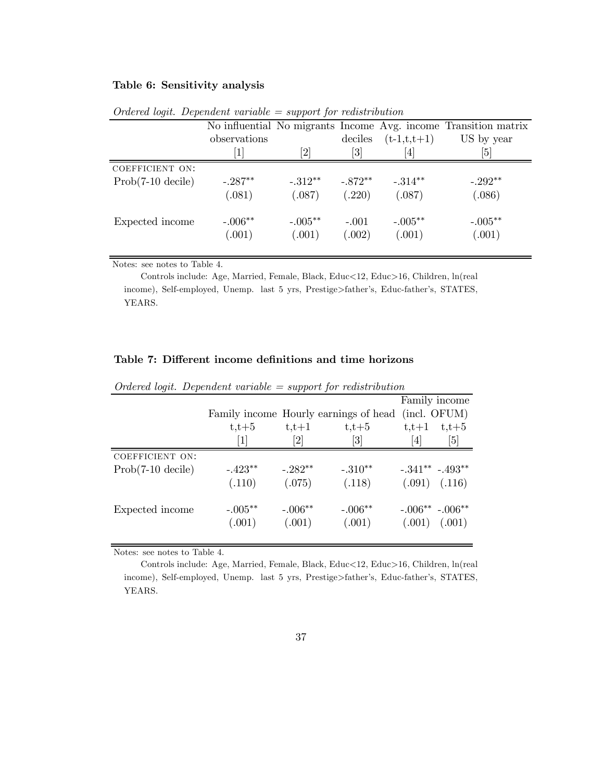### Table 6: Sensitivity analysis

|                             |                              |                       |           |                                                                                                                                                                      | No influential No migrants Income Avg. income Transition matrix |
|-----------------------------|------------------------------|-----------------------|-----------|----------------------------------------------------------------------------------------------------------------------------------------------------------------------|-----------------------------------------------------------------|
|                             | observations                 |                       | deciles   | $(t-1,t,t+1)$                                                                                                                                                        | US by year                                                      |
|                             | $\left\lceil 1 \right\rceil$ | $^{\left[ 2\right] }$ | [3]       | $[4] % \includegraphics[width=0.9\columnwidth]{images/TrDiM1.png} \caption{The figure shows the results of the estimators in the left hand side.} \label{TrDiS5_11}$ | $\lceil 5 \rceil$                                               |
| COEFFICIENT ON:             |                              |                       |           |                                                                                                                                                                      |                                                                 |
| $Prob(7-10 \text{ decile})$ | $-.287**$                    | $-.312**$             | $-.872**$ | $-.314**$                                                                                                                                                            | $-.292**$                                                       |
|                             | (.081)                       | (.087)                | (.220)    | (.087)                                                                                                                                                               | (.086)                                                          |
| Expected income             | $-.006**$                    | $-.005**$             | $-.001$   | $-.005**$                                                                                                                                                            | $-.005**$                                                       |
|                             | (.001)                       | (.001)                | (.002)    | (.001)                                                                                                                                                               | (.001)                                                          |

 $Ordered$  logit. Dependent variable  $=$  support for redistribution

Notes: see notes to Table 4.

Controls include: Age, Married, Female, Black, Educ<12, Educ>16, Children, ln(real income), Self-employed, Unemp. last 5 yrs, Prestige>father's, Educ-father's, STATES, YEARS.

#### Table 7: Different income definitions and time horizons

| $\cdot$                     |                                                                                                                                                                                                                      | <u>* *</u> | $\cdot$                               |         |                   |
|-----------------------------|----------------------------------------------------------------------------------------------------------------------------------------------------------------------------------------------------------------------|------------|---------------------------------------|---------|-------------------|
|                             |                                                                                                                                                                                                                      |            |                                       |         | Family income     |
|                             |                                                                                                                                                                                                                      |            | Family income Hourly earnings of head |         | (incl. OFUM)      |
|                             | $t,t+5$                                                                                                                                                                                                              | $t,t+1$    | $t,t+5$                               | $t,t+1$ | $t,t+5$           |
|                             | $[1] % \includegraphics[width=0.9\columnwidth]{figures/fig_10.pdf} \caption{The figure shows the number of times on the right panel. The left panel shows the number of times on the right panel.} \label{fig:time}$ | [2]        | [3]                                   | [4]     | 5]                |
| COEFFICIENT ON:             |                                                                                                                                                                                                                      |            |                                       |         |                   |
| $Prob(7-10 \text{ decile})$ | $-.423**$                                                                                                                                                                                                            | $-.282**$  | $-.310**$                             |         | $-.341***-.493**$ |
|                             | (.110)                                                                                                                                                                                                               | (.075)     | (.118)                                |         | $(.091)$ $(.116)$ |
| Expected income             | $-.005**$                                                                                                                                                                                                            | $-.006**$  | $-.006**$                             |         | $-.006**-.006**$  |
|                             | (.001)                                                                                                                                                                                                               | (.001)     | (.001)                                |         | $(.001)$ $(.001)$ |

Ordered logit. Dependent variable  $=$  support for redistribution

Notes: see notes to Table 4.

Controls include: Age, Married, Female, Black, Educ<12, Educ>16, Children, ln(real income), Self-employed, Unemp. last 5 yrs, Prestige>father's, Educ-father's, STATES, YEARS.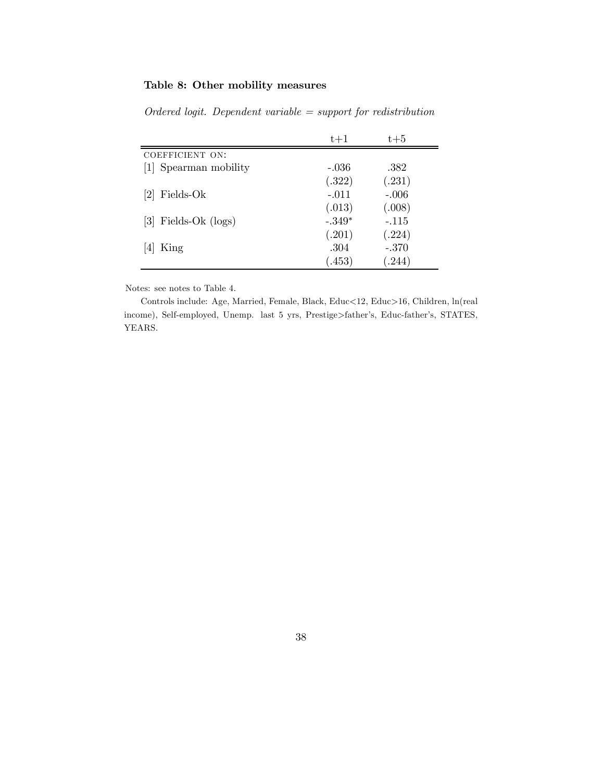## Table 8: Other mobility measures

|                        | $t+1$    | $t + 5$ |
|------------------------|----------|---------|
| COEFFICIENT ON:        |          |         |
| [1] Spearman mobility  | $-.036$  | .382    |
|                        | (.322)   | (.231)  |
| $[2]$ Fields-Ok        | $-.011$  | $-.006$ |
|                        | (.013)   | (.008)  |
| $[3]$ Fields-Ok (logs) | $-.349*$ | $-.115$ |
|                        | (.201)   | (.224)  |
| King                   | .304     | $-.370$ |
|                        | (.453)   | (.244)  |

 $Ordered$  logit. Dependent variable  $=$  support for redistribution

Notes: see notes to Table 4.

Controls include: Age, Married, Female, Black, Educ<12, Educ>16, Children, ln(real income), Self-employed, Unemp. last 5 yrs, Prestige>father's, Educ-father's, STATES, YEARS.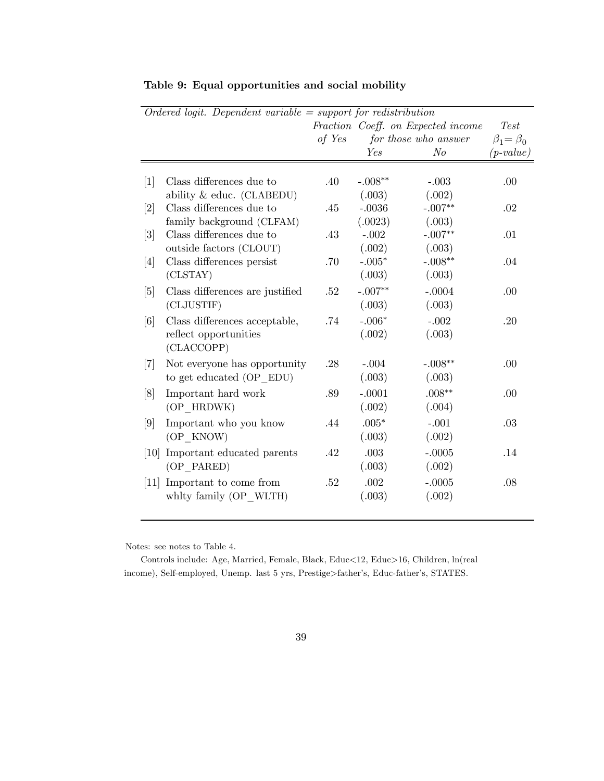|                   | $Ordered$ logit. Dependent variable = support for redistribution |        |           |                                    |                     |  |  |  |
|-------------------|------------------------------------------------------------------|--------|-----------|------------------------------------|---------------------|--|--|--|
|                   |                                                                  |        |           | Fraction Coeff. on Expected income | <b>Test</b>         |  |  |  |
|                   |                                                                  | of Yes |           | for those who answer               | $\beta_1 = \beta_0$ |  |  |  |
|                   |                                                                  |        | Yes       | N <sub>o</sub>                     | $(p-value)$         |  |  |  |
|                   |                                                                  |        |           |                                    |                     |  |  |  |
| $[1]$             | Class differences due to                                         | .40    | $-.008**$ | $-.003$                            | .00                 |  |  |  |
|                   | ability & educ. (CLABEDU)                                        |        | (.003)    | (.002)                             |                     |  |  |  |
| $[2]$             | Class differences due to                                         | .45    | $-.0036$  | $-.007**$                          | .02                 |  |  |  |
|                   | family background (CLFAM)                                        |        | (.0023)   | (.003)                             |                     |  |  |  |
| $[3]$             | Class differences due to                                         | .43    | $-.002$   | $-.007**$                          | .01                 |  |  |  |
|                   | outside factors (CLOUT)                                          |        | (.002)    | (.003)                             |                     |  |  |  |
| $[4]$             | Class differences persist                                        | .70    | $-.005*$  | $-.008**$                          | .04                 |  |  |  |
|                   | (CLSTAY)                                                         |        | (.003)    | (.003)                             |                     |  |  |  |
| $[5]$             | Class differences are justified                                  | .52    | $-.007**$ | $-.0004$                           | .00                 |  |  |  |
|                   | (CLJUSTIF)                                                       |        | (.003)    | (.003)                             |                     |  |  |  |
| [6]               | Class differences acceptable,                                    | .74    | $-.006*$  | $-.002$                            | .20                 |  |  |  |
|                   | reflect opportunities                                            |        | (.002)    | (.003)                             |                     |  |  |  |
|                   | (CLACCOPP)                                                       |        |           |                                    |                     |  |  |  |
| $\vert 7 \vert$   | Not everyone has opportunity                                     | .28    | $-.004$   | $-.008**$                          | .00                 |  |  |  |
|                   | to get educated (OP EDU)                                         |        | (.003)    | (.003)                             |                     |  |  |  |
| [8]               | Important hard work                                              | .89    | $-.0001$  | $.008**$                           | .00                 |  |  |  |
|                   | (OP HRDWK)                                                       |        | (.002)    | (.004)                             |                     |  |  |  |
| $\left[9\right]$  | Important who you know                                           | .44    | $.005*$   | $-.001$                            | .03                 |  |  |  |
|                   | (OP KNOW)                                                        |        | (.003)    | (.002)                             |                     |  |  |  |
| $\left[10\right]$ | Important educated parents                                       | .42    | .003      | $-.0005$                           | .14                 |  |  |  |
|                   | (OP PARED)                                                       |        | (.003)    | (.002)                             |                     |  |  |  |
| $\left[11\right]$ | Important to come from                                           | .52    | .002      | $-.0005$                           | .08                 |  |  |  |
|                   | whity family (OP WLTH)                                           |        | (.003)    | (.002)                             |                     |  |  |  |
|                   |                                                                  |        |           |                                    |                     |  |  |  |

Table 9: Equal opportunities and social mobility

Notes: see notes to Table 4.

Controls include: Age, Married, Female, Black, Educ<12, Educ>16, Children, ln(real income), Self-employed, Unemp. last 5 yrs, Prestige>father's, Educ-father's, STATES.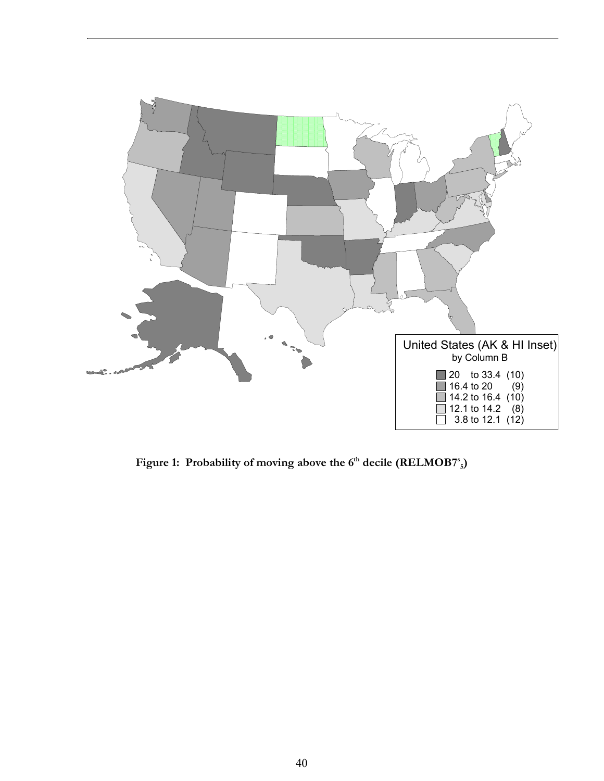

Figure 1: Probability of moving above the 6<sup>th</sup> decile (RELMOB7<sup>s</sup><sub>5</sub>)